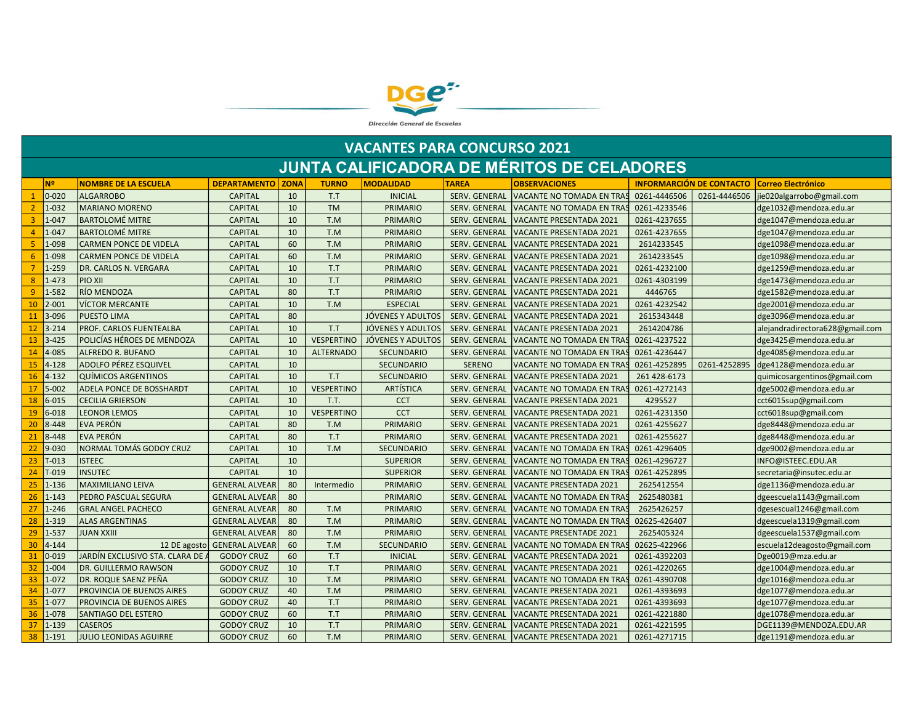

|                 | <b>VACANTES PARA CONCURSO 2021</b> |                                  |                            |    |                   |                   |                      |                                                   |              |                                 |                                 |  |  |  |
|-----------------|------------------------------------|----------------------------------|----------------------------|----|-------------------|-------------------|----------------------|---------------------------------------------------|--------------|---------------------------------|---------------------------------|--|--|--|
|                 |                                    |                                  |                            |    |                   |                   |                      | <b>JUNTA CALIFICADORA DE MÉRITOS DE CELADORES</b> |              |                                 |                                 |  |  |  |
|                 | N <sup>2</sup>                     | <b>NOMBRE DE LA ESCUELA</b>      | <b>DEPARTAMENTO   ZONA</b> |    | <b>TURNO</b>      | <b>MODALIDAD</b>  | <b>TAREA</b>         | <b>OBSERVACIONES</b>                              |              | <b>INFORMARCIÓN DE CONTACTO</b> | <b>Correo Electrónico</b>       |  |  |  |
|                 | $0 - 020$                          | <b>ALGARROBO</b>                 | <b>CAPITAL</b>             | 10 | T.T               | <b>INICIAL</b>    | SERV. GENERAL        | VACANTE NO TOMADA EN TRAS                         | 0261-4446506 | 0261-4446506                    | jie020algarrobo@gmail.com       |  |  |  |
|                 | 1-032                              | <b>MARIANO MORENO</b>            | <b>CAPITAL</b>             | 10 | <b>TM</b>         | <b>PRIMARIO</b>   | SERV. GENERAL        | VACANTE NO TOMADA EN TRAS                         | 0261-4233546 |                                 | dge1032@mendoza.edu.ar          |  |  |  |
| 3               | $1 - 047$                          | <b>BARTOLOMÉ MITRE</b>           | <b>CAPITAL</b>             | 10 | T.M               | <b>PRIMARIO</b>   | SERV. GENERAL        | <b>VACANTE PRESENTADA 2021</b>                    | 0261-4237655 |                                 | dge1047@mendoza.edu.ar          |  |  |  |
| $\overline{4}$  | 1-047                              | <b>BARTOLOMÉ MITRE</b>           | <b>CAPITAL</b>             | 10 | T.M               | <b>PRIMARIO</b>   | SERV. GENERAL        | <b>VACANTE PRESENTADA 2021</b>                    | 0261-4237655 |                                 | dge1047@mendoza.edu.ar          |  |  |  |
| -5.             | 1-098                              | <b>CARMEN PONCE DE VIDELA</b>    | <b>CAPITAL</b>             | 60 | T.M               | <b>PRIMARIO</b>   | SERV. GENERAL        | <b>VACANTE PRESENTADA 2021</b>                    | 2614233545   |                                 | dge1098@mendoza.edu.ar          |  |  |  |
| 6               | 1-098                              | <b>CARMEN PONCE DE VIDELA</b>    | <b>CAPITAL</b>             | 60 | T.M               | PRIMARIO          | <b>SERV. GENERAL</b> | <b>VACANTE PRESENTADA 2021</b>                    | 2614233545   |                                 | dge1098@mendoza.edu.ar          |  |  |  |
| $\overline{7}$  | $1 - 259$                          | DR. CARLOS N. VERGARA            | <b>CAPITAL</b>             | 10 | T.T               | <b>PRIMARIO</b>   | SERV. GENERAL        | VACANTE PRESENTADA 2021                           | 0261-4232100 |                                 | dge1259@mendoza.edu.ar          |  |  |  |
| 8               | $1 - 473$                          | PIO XII                          | <b>CAPITAL</b>             | 10 | T.T               | <b>PRIMARIO</b>   | SERV. GENERAL        | <b>VACANTE PRESENTADA 2021</b>                    | 0261-4303199 |                                 | dge1473@mendoza.edu.ar          |  |  |  |
| -9              | 1-582                              | RÍO MENDOZA                      | <b>CAPITAL</b>             | 80 | T.T               | <b>PRIMARIO</b>   | SERV. GENERAL        | <b>VACANTE PRESENTADA 2021</b>                    | 4446765      |                                 | dge1582@mendoza.edu.ar          |  |  |  |
| 10              | $ 2 - 001 $                        | <b>VÍCTOR MERCANTE</b>           | <b>CAPITAL</b>             | 10 | T.M               | <b>ESPECIAL</b>   | SERV. GENERAL        | <b>VACANTE PRESENTADA 2021</b>                    | 0261-4232542 |                                 | dge2001@mendoza.edu.ar          |  |  |  |
| 11              | 3-096                              | <b>PUESTO LIMA</b>               | <b>CAPITAL</b>             | 80 |                   | JÓVENES Y ADULTOS | SERV. GENERAL        | <b>VACANTE PRESENTADA 2021</b>                    | 2615343448   |                                 | dge3096@mendoza.edu.ar          |  |  |  |
| 12 <sup>2</sup> | $3 - 214$                          | PROF. CARLOS FUENTEALBA          | <b>CAPITAL</b>             | 10 | T.T               | JÓVENES Y ADULTOS | SERV. GENERAL        | <b>VACANTE PRESENTADA 2021</b>                    | 2614204786   |                                 | alejandradirectora628@gmail.com |  |  |  |
| 13              | $3 - 425$                          | POLICÍAS HÉROES DE MENDOZA       | <b>CAPITAL</b>             | 10 | <b>VESPERTINO</b> | JÓVENES Y ADULTOS | SERV. GENERAL        | VACANTE NO TOMADA EN TRAS                         | 0261-4237522 |                                 | dge3425@mendoza.edu.ar          |  |  |  |
| 14              | 4-085                              | ALFREDO R. BUFANO                | <b>CAPITAL</b>             | 10 | <b>ALTERNADO</b>  | <b>SECUNDARIO</b> | <b>SERV. GENERAL</b> | VACANTE NO TOMADA EN TRAS                         | 0261-4236447 |                                 | dge4085@mendoza.edu.ar          |  |  |  |
| 15              | $4 - 128$                          | <b>ADOLFO PÉREZ ESQUIVEL</b>     | <b>CAPITAL</b>             | 10 |                   | <b>SECUNDARIO</b> | <b>SERENO</b>        | VACANTE NO TOMADA EN TRA!                         | 0261-4252895 | 0261-4252895                    | dge4128@mendoza.edu.ar          |  |  |  |
| 16              | $4 - 132$                          | <b>QUÍMICOS ARGENTINOS</b>       | <b>CAPITAL</b>             | 10 | T.T               | <b>SECUNDARIO</b> | <b>SERV. GENERAL</b> | <b>VACANTE PRESENTADA 2021</b>                    | 261 428-6173 |                                 | quimicosargentinos@gmail.com    |  |  |  |
| 17              | $5 - 002$                          | ADELA PONCE DE BOSSHARDT         | <b>CAPITAL</b>             | 10 | <b>VESPERTINO</b> | <b>ARTÍSTICA</b>  | SERV. GENERAL        | VACANTE NO TOMADA EN TRAS                         | 0261-4272143 |                                 | dge5002@mendoza.edu.ar          |  |  |  |
| 18              | $6 - 015$                          | <b>CECILIA GRIERSON</b>          | <b>CAPITAL</b>             | 10 | T.T.              | <b>CCT</b>        | SERV. GENERAL        | <b>VACANTE PRESENTADA 2021</b>                    | 4295527      |                                 | cct6015sup@gmail.com            |  |  |  |
| 19              | $6 - 018$                          | <b>LEONOR LEMOS</b>              | <b>CAPITAL</b>             | 10 | <b>VESPERTINO</b> | <b>CCT</b>        | SERV. GENERAL        | <b>VACANTE PRESENTADA 2021</b>                    | 0261-4231350 |                                 | cct6018sup@gmail.com            |  |  |  |
| 20              | 8-448                              | <b>EVA PERÓN</b>                 | <b>CAPITAL</b>             | 80 | T.M               | <b>PRIMARIO</b>   | SERV. GENERAL        | VACANTE PRESENTADA 2021                           | 0261-4255627 |                                 | dge8448@mendoza.edu.ar          |  |  |  |
| 21              | 8-448                              | <b>EVA PERÓN</b>                 | <b>CAPITAL</b>             | 80 | T.T               | <b>PRIMARIO</b>   | SERV. GENERAL        | <b>VACANTE PRESENTADA 2021</b>                    | 0261-4255627 |                                 | dge8448@mendoza.edu.ar          |  |  |  |
| 22              | $9 - 030$                          | NORMAL TOMÁS GODOY CRUZ          | <b>CAPITAL</b>             | 10 | T.M               | <b>SECUNDARIO</b> | SERV. GENERAL        | VACANTE NO TOMADA EN TRA!                         | 0261-4296405 |                                 | dge9002@mendoza.edu.ar          |  |  |  |
| 23              | $T-013$                            | <b>ISTEEC</b>                    | <b>CAPITAL</b>             | 10 |                   | <b>SUPERIOR</b>   | SERV. GENERAL        | VACANTE NO TOMADA EN TRAS                         | 0261-4296727 |                                 | INFO@ISTEEC.EDU.AR              |  |  |  |
| 24              | $T-019$                            | <b>INSUTEC</b>                   | <b>CAPITAL</b>             | 10 |                   | <b>SUPERIOR</b>   | SERV. GENERAL        | VACANTE NO TOMADA EN TRA!                         | 0261-4252895 |                                 | secretaria@insutec.edu.ar       |  |  |  |
| 25              | $1 - 136$                          | <b>MAXIMILIANO LEIVA</b>         | <b>GENERAL ALVEAR</b>      | 80 | Intermedio        | PRIMARIO          | SERV. GENERAL        | VACANTE PRESENTADA 2021                           | 2625412554   |                                 | dge1136@mendoza.edu.ar          |  |  |  |
| 26              | $1 - 143$                          | PEDRO PASCUAL SEGURA             | <b>GENERAL ALVEAR</b>      | 80 |                   | PRIMARIO          | <b>SERV. GENERAL</b> | <b>VACANTE NO TOMADA EN TRA!</b>                  | 2625480381   |                                 | dgeescuela1143@gmail.com        |  |  |  |
| 27              | $1 - 246$                          | <b>GRAL ANGEL PACHECO</b>        | <b>GENERAL ALVEAR</b>      | 80 | T.M               | PRIMARIO          | SERV. GENERAL        | VACANTE NO TOMADA EN TRAS                         | 2625426257   |                                 | dgesescual1246@gmail.com        |  |  |  |
| 28              | 1-319                              | <b>ALAS ARGENTINAS</b>           | <b>GENERAL ALVEAR</b>      | 80 | T.M               | <b>PRIMARIO</b>   | SERV. GENERAL        | VACANTE NO TOMADA EN TRAS                         | 02625-426407 |                                 | dgeescuela1319@gmail.com        |  |  |  |
| 29              | $1 - 537$                          | <b>JUAN XXIII</b>                | <b>GENERAL ALVEAR</b>      | 80 | T.M               | PRIMARIO          | <b>SERV. GENERAL</b> | <b>VACANTE PRESENTADE 2021</b>                    | 2625405324   |                                 | dgeescuela1537@gmail.com        |  |  |  |
| 30 <sub>o</sub> | $4 - 144$                          | 12 DE agosto                     | <b>GENERAL ALVEAR</b>      | 60 | T.M               | <b>SECUNDARIO</b> | SERV. GENERAL        | VACANTE NO TOMADA EN TRAS                         | 02625-422966 |                                 | escuela12deagosto@gmail.com     |  |  |  |
| 31              | $0 - 019$                          | JARDÍN EXCLUSIVO STA. CLARA DE A | <b>GODOY CRUZ</b>          | 60 | T.T               | <b>INICIAL</b>    | SERV. GENERAL        | <b>VACANTE PRESENTADA 2021</b>                    | 0261-4392203 |                                 | Dge0019@mza.edu.ar              |  |  |  |
| 32              | $1 - 004$                          | DR. GUILLERMO RAWSON             | <b>GODOY CRUZ</b>          | 10 | T.T               | PRIMARIO          | SERV. GENERAL        | <b>VACANTE PRESENTADA 2021</b>                    | 0261-4220265 |                                 | dge1004@mendoza.edu.ar          |  |  |  |
| 33              | $1 - 072$                          | DR. ROQUE SAENZ PEÑA             | <b>GODOY CRUZ</b>          | 10 | T.M               | PRIMARIO          | <b>SERV. GENERAL</b> | VACANTE NO TOMADA EN TRA:                         | 0261-4390708 |                                 | dge1016@mendoza.edu.ar          |  |  |  |
| 34              | $1 - 077$                          | PROVINCIA DE BUENOS AIRES        | <b>GODOY CRUZ</b>          | 40 | T.M               | PRIMARIO          | SERV. GENERAL        | VACANTE PRESENTADA 2021                           | 0261-4393693 |                                 | dge1077@mendoza.edu.ar          |  |  |  |
| 35              | $1 - 077$                          | PROVINCIA DE BUENOS AIRES        | <b>GODOY CRUZ</b>          | 40 | T.T               | PRIMARIO          | SERV. GENERAL        | VACANTE PRESENTADA 2021                           | 0261-4393693 |                                 | dge1077@mendoza.edu.ar          |  |  |  |
| 36              | $1 - 078$                          | SANTIAGO DEL ESTERO              | <b>GODOY CRUZ</b>          | 60 | T.T               | PRIMARIO          | <b>SERV. GENERAL</b> | <b>VACANTE PRESENTADA 2021</b>                    | 0261-4221880 |                                 | dge1078@mendoza.edu.ar          |  |  |  |
| 37 <sup>°</sup> | $1 - 139$                          | <b>CASEROS</b>                   | <b>GODOY CRUZ</b>          | 10 | T.T               | <b>PRIMARIO</b>   | SERV. GENERAL        | VACANTE PRESENTADA 2021                           | 0261-4221595 |                                 | DGE1139@MENDOZA.EDU.AR          |  |  |  |
| 38              | $1 - 191$                          | JULIO LEONIDAS AGUIRRE           | <b>GODOY CRUZ</b>          | 60 | T.M               | <b>PRIMARIO</b>   |                      | SERV. GENERAL VACANTE PRESENTADA 2021             | 0261-4271715 |                                 | dge1191@mendoza.edu.ar          |  |  |  |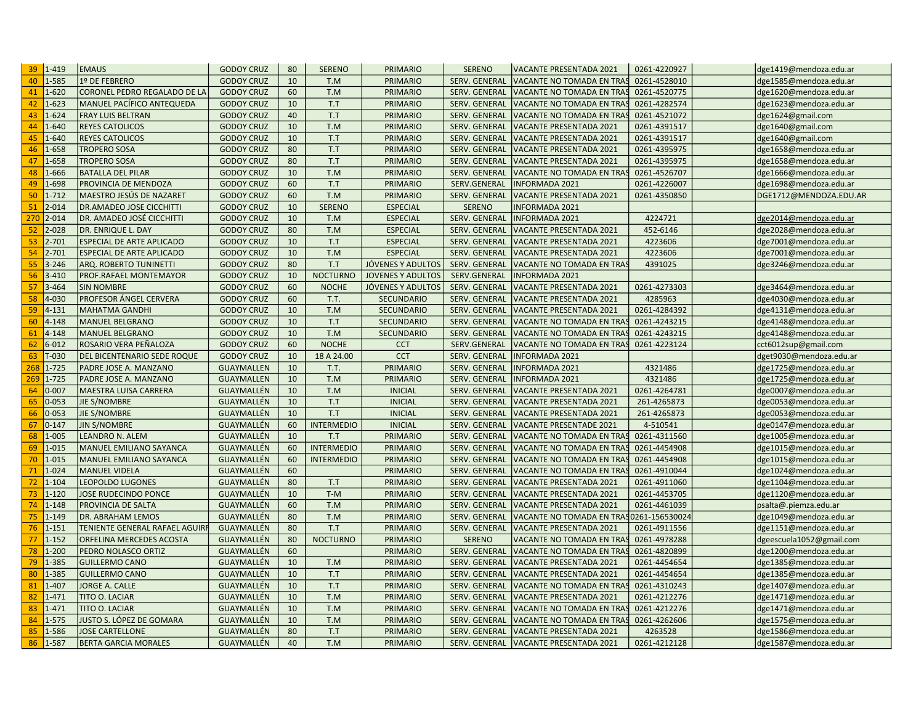| $1 - 419$<br>39  | <b>EMAUS</b>                                       | <b>GODOY CRUZ</b>                      | 80       | <b>SERENO</b>     | <b>PRIMARIO</b>          | <b>SERENO</b>                         | <b>VACANTE PRESENTADA 2021</b>                              | 0261-4220927            | dge1419@mendoza.edu.ar                           |
|------------------|----------------------------------------------------|----------------------------------------|----------|-------------------|--------------------------|---------------------------------------|-------------------------------------------------------------|-------------------------|--------------------------------------------------|
| 1-585            | 1º DE FEBRERO                                      | <b>GODOY CRUZ</b>                      | 10       | T.M               | PRIMARIO                 | SERV. GENERAL                         | VACANTE NO TOMADA EN TRAS                                   | 0261-4528010            | dge1585@mendoza.edu.ar                           |
| $1 - 620$        | CORONEL PEDRO REGALADO DE LA                       | <b>GODOY CRUZ</b>                      | 60       | T.M               | PRIMARIO                 | SERV. GENERAL                         | VACANTE NO TOMADA EN TRAS                                   | 0261-4520775            | dge1620@mendoza.edu.ar                           |
| $1 - 623$        | MANUEL PACÍFICO ANTEQUEDA                          | <b>GODOY CRUZ</b>                      | 10       | T.T               | PRIMARIO                 | SERV. GENERAL                         | VACANTE NO TOMADA EN TRAS                                   | 0261-4282574            | dge1623@mendoza.edu.ar                           |
| $1 - 624$        | <b>FRAY LUIS BELTRAN</b>                           | <b>GODOY CRUZ</b>                      | 40       | T.T               | PRIMARIO                 | SERV. GENERAL                         | VACANTE NO TOMADA EN TRAS                                   | 0261-4521072            | dge1624@gmail.com                                |
| $1 - 640$        | <b>REYES CATOLICOS</b>                             | <b>GODOY CRUZ</b>                      | 10       | T.M               | PRIMARIO                 | <b>SERV. GENERAL</b>                  | VACANTE PRESENTADA 2021                                     | 0261-4391517            | dge1640@gmail.com                                |
| 1-640            | <b>REYES CATOLICOS</b>                             | <b>GODOY CRUZ</b>                      | 10       | T.T               | <b>PRIMARIO</b>          | SERV. GENERAL                         | VACANTE PRESENTADA 2021                                     | 0261-4391517            | dge1640@gmail.com                                |
| 1-658            | <b>TROPERO SOSA</b>                                | <b>GODOY CRUZ</b>                      | 80       | T.T               | <b>PRIMARIO</b>          | SERV. GENERAL                         | VACANTE PRESENTADA 2021                                     | 0261-4395975            | dge1658@mendoza.edu.ar                           |
| 1-658            | <b>TROPERO SOSA</b>                                | <b>GODOY CRUZ</b>                      | 80       | T.T               | PRIMARIO                 | SERV. GENERAL                         | VACANTE PRESENTADA 2021                                     | 0261-4395975            | dge1658@mendoza.edu.ar                           |
| 1-666            | <b>BATALLA DEL PILAR</b>                           | <b>GODOY CRUZ</b>                      | 10       | T.M               | PRIMARIO                 | SERV. GENERAL                         | VACANTE NO TOMADA EN TRAS                                   | 0261-4526707            | dge1666@mendoza.edu.ar                           |
| 1-698            | PROVINCIA DE MENDOZA                               | <b>GODOY CRUZ</b>                      | 60       | T.T               | <b>PRIMARIO</b>          | SERV.GENERAL                          | <b>INFORMADA 2021</b>                                       | 0261-4226007            | dge1698@mendoza.edu.ar                           |
| $1 - 712$        | MAESTRO JESÚS DE NAZARET                           | <b>GODOY CRUZ</b>                      | 60       | T.M               | PRIMARIO                 | SERV. GENERAL                         | <b>VACANTE PRESENTADA 2021</b>                              | 0261-4350850            | DGE1712@MENDOZA.EDU.AR                           |
| $2 - 014$        | <b>DR.AMADEO JOSE CICCHITTI</b>                    | <b>GODOY CRUZ</b>                      | 10       | <b>SERENO</b>     | <b>ESPECIAL</b>          | <b>SERENO</b>                         | <b>INFORMADA 2021</b>                                       |                         |                                                  |
| 270<br>$2 - 014$ | DR. AMADEO JOSÉ CICCHITTI                          | <b>GODOY CRUZ</b>                      | 10       | T.M               | <b>ESPECIAL</b>          | SERV. GENERAL                         | <b>INFORMADA 2021</b>                                       | 4224721                 | dge2014@mendoza.edu.ar                           |
| $2 - 028$        | DR. ENRIQUE L. DAY                                 | <b>GODOY CRUZ</b>                      | 80       | T.M               | <b>ESPECIAL</b>          | SERV. GENERAL                         | <b>VACANTE PRESENTADA 2021</b>                              | 452-6146                | dge2028@mendoza.edu.ar                           |
| $2 - 701$        | ESPECIAL DE ARTE APLICADO                          | <b>GODOY CRUZ</b>                      | 10       | T.T               | <b>ESPECIAL</b>          | SERV. GENERAL                         | <b>VACANTE PRESENTADA 2021</b>                              | 4223606                 | dge7001@mendoza.edu.ar                           |
| $2 - 701$        | <b>ESPECIAL DE ARTE APLICADO</b>                   | <b>GODOY CRUZ</b>                      | 10       | T.M               | <b>ESPECIAL</b>          | SERV. GENERAL                         | <b>VACANTE PRESENTADA 2021</b>                              | 4223606                 | dge7001@mendoza.edu.ar                           |
| $3 - 246$        | ARQ. ROBERTO TUNINETTI                             | <b>GODOY CRUZ</b>                      | 80       | T.T               | JÓVENES Y ADULTOS        | SERV. GENERAL                         | VACANTE NO TOMADA EN TRAS                                   | 4391025                 | dge3246@mendoza.edu.ar                           |
| $3 - 410$        | PROF.RAFAEL MONTEMAYOR                             | <b>GODOY CRUZ</b>                      | 10       | <b>NOCTURNO</b>   | <b>JOVENES Y ADULTOS</b> | SERV.GENERAL                          | <b>INFORMADA 2021</b>                                       |                         |                                                  |
| $3 - 464$        | <b>SIN NOMBRE</b>                                  | <b>GODOY CRUZ</b>                      | 60       | <b>NOCHE</b>      | JÓVENES Y ADULTOS        | SERV. GENERAL                         | VACANTE PRESENTADA 2021                                     | 0261-4273303            | dge3464@mendoza.edu.ar                           |
| 4-030            | PROFESOR ÁNGEL CERVERA                             | <b>GODOY CRUZ</b>                      | 60       | T.T.              | <b>SECUNDARIO</b>        | SERV. GENERAL                         | <b>VACANTE PRESENTADA 2021</b>                              | 4285963                 | dge4030@mendoza.edu.ar                           |
| $4 - 131$        | <b>MAHATMA GANDHI</b>                              | <b>GODOY CRUZ</b>                      | 10       | T.M               | SECUNDARIO               | SERV. GENERAL                         | VACANTE PRESENTADA 2021                                     | 0261-4284392            | dge4131@mendoza.edu.ar                           |
| 4-148            | <b>MANUEL BELGRANO</b>                             | <b>GODOY CRUZ</b>                      | 10       | T.T               | <b>SECUNDARIO</b>        | <b>SERV. GENERAL</b>                  | VACANTE NO TOMADA EN TRAS                                   | 0261-4243215            | dge4148@mendoza.edu.ar                           |
| $4 - 148$        | <b>MANUEL BELGRANO</b>                             | <b>GODOY CRUZ</b>                      | 10       | T.M               | <b>SECUNDARIO</b>        | SERV. GENERAL                         | <b>VACANTE NO TOMADA EN TRAS</b>                            | 0261-4243215            | dge4148@mendoza.edu.ar                           |
| $6 - 012$        | ROSARIO VERA PEÑALOZA                              | <b>GODOY CRUZ</b>                      | 60       | <b>NOCHE</b>      | <b>CCT</b>               | SERV.GENERAL                          | VACANTE NO TOMADA EN TRAS                                   | 0261-4223124            | cct6012sup@gmail.com                             |
| $T-030$          | DEL BICENTENARIO SEDE ROQUE                        | <b>GODOY CRUZ</b>                      | 10       | 18 A 24.00        | <b>CCT</b>               | SERV. GENERAL                         | <b>INFORMADA 2021</b>                                       |                         | dget9030@mendoza.edu.ar                          |
| $1 - 725$        | PADRE JOSE A. MANZANO                              | <b>GUAYMALLEN</b>                      | 10       | T.T.              | PRIMARIO                 | SERV. GENERAL                         | <b>INFORMADA 2021</b>                                       | 4321486                 | dge1725@mendoza.edu.ar                           |
| $1 - 725$<br>269 | PADRE JOSE A. MANZANO                              | <b>GUAYMALLEN</b>                      | 10       | T.M               | PRIMARIO                 | SERV. GENERAL                         | <b>INFORMADA 2021</b>                                       | 4321486                 | dge1725@mendoza.edu.ar                           |
| $0 - 007$        | MAESTRA LUISA CARRERA                              | GUAYMALLÉN                             | 10       | T.M               | <b>INICIAL</b>           | SERV. GENERAL                         | VACANTE PRESENTADA 2021                                     | 0261-4264781            | dge0007@mendoza.edu.ar                           |
| $0 - 053$        | JIE S/NOMBRE                                       | <b>GUAYMALLÉN</b>                      | 10       | T.T               | <b>INICIAL</b>           | <b>SERV. GENERAL</b>                  | <b>VACANTE PRESENTADA 2021</b>                              | 261-4265873             | dge0053@mendoza.edu.ar                           |
| $0 - 053$        | JIE S/NOMBRE                                       | GUAYMALLÉN                             | 10       | T.T               | <b>INICIAL</b>           | <b>SERV. GENERAL</b>                  | VACANTE PRESENTADA 2021                                     | 261-4265873             | dge0053@mendoza.edu.ar                           |
| $0 - 147$        | <b>JIN S/NOMBRE</b>                                | GUAYMALLÉN                             | 60       | <b>INTERMEDIO</b> | <b>INICIAL</b>           | <b>SERV. GENERAL</b>                  | VACANTE PRESENTADE 2021                                     | 4-510541                | dge0147@mendoza.edu.ar                           |
| $1 - 005$        | <b>LEANDRO N. ALEM</b>                             | GUAYMALLÉN                             | 10       | T.T               | <b>PRIMARIO</b>          | SERV. GENERAL                         | VACANTE NO TOMADA EN TRAS                                   | 0261-4311560            | dge1005@mendoza.edu.ar                           |
| $1 - 015$        | MANUEL EMILIANO SAYANCA                            | GUAYMALLÉN                             | 60       | <b>INTERMEDIO</b> | PRIMARIO                 | SERV. GENERAL                         | VACANTE NO TOMADA EN TRAS                                   | 0261-4454908            | dge1015@mendoza.edu.ar                           |
| $1 - 015$        | MANUEL EMILIANO SAYANCA                            | GUAYMALLÉN                             | 60       | <b>INTERMEDIO</b> | PRIMARIO                 | SERV. GENERAL                         | VACANTE NO TOMADA EN TRAS                                   | 0261-4454908            | dge1015@mendoza.edu.ar                           |
| $1 - 024$        | <b>MANUEL VIDELA</b>                               | GUAYMALLÉN                             | 60       |                   | PRIMARIO                 | SERV. GENERAL                         | VACANTE NO TOMADA EN TRAS                                   | 0261-4910044            | dge1024@mendoza.edu.ar                           |
| $1 - 104$        | <b>LEOPOLDO LUGONES</b>                            | <b>GUAYMALLÉN</b>                      | 80       | T.T               | <b>PRIMARIO</b>          | SERV. GENERAL                         | <b>VACANTE PRESENTADA 2021</b>                              | 0261-4911060            | dge1104@mendoza.edu.ar                           |
| $1 - 120$        | JOSE RUDECINDO PONCE                               | GUAYMALLÉN                             | 10       | $T-M$             | PRIMARIO                 | SERV. GENERAL                         | VACANTE PRESENTADA 2021                                     | 0261-4453705            | dge1120@mendoza.edu.ar                           |
| $1 - 148$        | PROVINCIA DE SALTA                                 | GUAYMALLÉN                             | 60       | T.M               | PRIMARIO                 | SERV. GENERAL                         | VACANTE PRESENTADA 2021                                     | 0261-4461039            | psalta@.piemza.edu.ar                            |
| $1 - 149$        | DR. ABRAHAM LEMOS                                  | GUAYMALLÉN                             | 80       | T.M               | PRIMARIO                 | SERV. GENERAL                         | VACANTE NO TOMADA EN TRA                                    | S0261-15653002          | dge1049@mendoza.edu.ar                           |
| $1 - 151$        | <b>TENIENTE GENERAL RAFAEL AGUIRR</b>              | GUAYMALLÉN                             | 80       | T.T               | PRIMARIO                 | SERV. GENERAL                         | <b>VACANTE PRESENTADA 2021</b>                              | 0261-4911556            | dge1151@mendoza.edu.ar                           |
| $1 - 152$        | ORFELINA MERCEDES ACOSTA                           | GUAYMALLÉN                             | 80       | <b>NOCTURNO</b>   | PRIMARIO                 | <b>SERENO</b>                         | VACANTE NO TOMADA EN TRAS                                   | 0261-4978288            | dgeescuela1052@gmail.com                         |
| $1 - 200$        | PEDRO NOLASCO ORTIZ                                | GUAYMALLÉN                             | 60       |                   | PRIMARIO                 | SERV. GENERAL                         | VACANTE NO TOMADA EN TRAS                                   | 0261-4820899            | dge1200@mendoza.edu.ar                           |
| 1-385            | <b>GUILLERMO CANO</b>                              | <b>GUAYMALLÉN</b>                      | 10       | T.M               | PRIMARIO                 | SERV. GENERAL                         | VACANTE PRESENTADA 2021                                     | 0261-4454654            | dge1385@mendoza.edu.ar                           |
| 1-385            | <b>GUILLERMO CANO</b>                              | GUAYMALLÉN                             | 10       | T.T               | <b>PRIMARIO</b>          | SERV. GENERAL                         | VACANTE PRESENTADA 2021                                     | 0261-4454654            | dge1385@mendoza.edu.ar                           |
| $1 - 407$        | <b>JORGE A. CALLE</b>                              | GUAYMALLÉN                             | 10       | T.T               | PRIMARIO                 | SERV. GENERAL                         | VACANTE NO TOMADA EN TRAS                                   | 0261-4310243            | dge1407@mendoza.edu.ar                           |
| $1 - 471$        | TITO O. LACIAR                                     | GUAYMALLÉN                             | 10       | T.M               | PRIMARIO                 | SERV. GENERAL                         | <b>VACANTE PRESENTADA 2021</b>                              | 0261-4212276            | dge1471@mendoza.edu.ar                           |
|                  | TITO O. LACIAR                                     | GUAYMALLÉN                             | 10       | T.M               | PRIMARIO                 | <b>SERV. GENERAL</b>                  | VACANTE NO TOMADA EN TRAS                                   | 0261-4212276            | dge1471@mendoza.edu.ar                           |
|                  |                                                    |                                        |          |                   |                          |                                       |                                                             |                         |                                                  |
| $1 - 471$        |                                                    |                                        |          |                   |                          |                                       |                                                             |                         |                                                  |
| 1-575<br>1-586   | JUSTO S. LÓPEZ DE GOMARA<br><b>JOSE CARTELLONE</b> | <b>GUAYMALLÉN</b><br><b>GUAYMALLÉN</b> | 10<br>80 | T.M<br>T.T        | PRIMARIO<br>PRIMARIO     | SERV. GENERAL<br><b>SERV. GENERAL</b> | VACANTE NO TOMADA EN TRAS<br><b>VACANTE PRESENTADA 2021</b> | 0261-4262606<br>4263528 | dge1575@mendoza.edu.ar<br>dge1586@mendoza.edu.ar |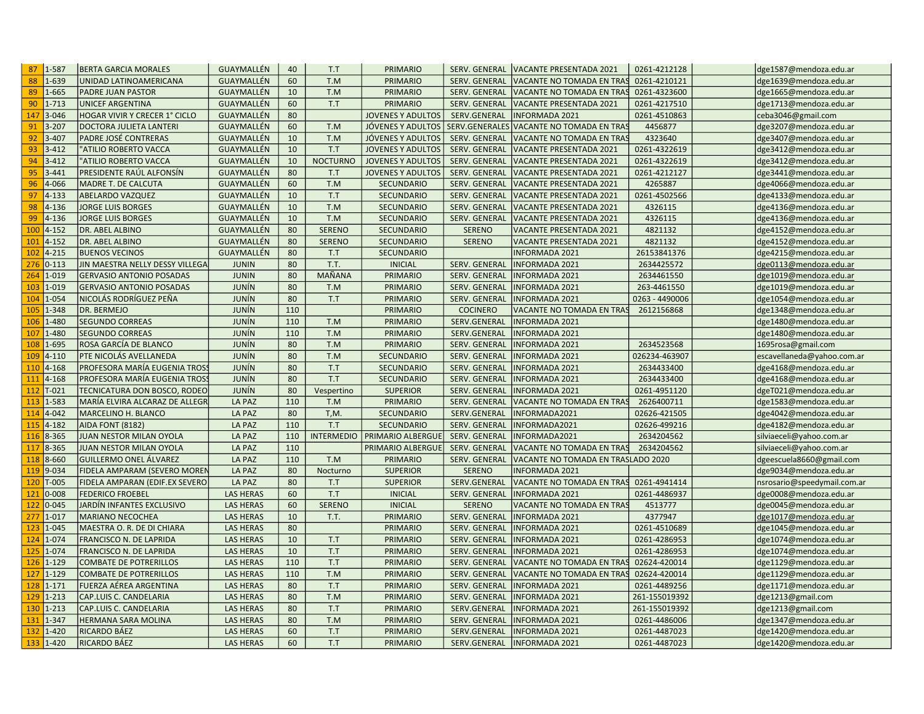| 1-587<br>87               | <b>BERTA GARCIA MORALES</b>         | <b>GUAYMALLÉN</b>                    | 40       | T.T             | <b>PRIMARIO</b>                | SERV. GENERAL                 | VACANTE PRESENTADA 2021                        | 0261-4212128                 | dge1587@mendoza.edu.ar                           |
|---------------------------|-------------------------------------|--------------------------------------|----------|-----------------|--------------------------------|-------------------------------|------------------------------------------------|------------------------------|--------------------------------------------------|
| 1-639                     | UNIDAD LATINOAMERICANA              | GUAYMALLÉN                           | 60       | T.M             | PRIMARIO                       | SERV. GENERAL                 | VACANTE NO TOMADA EN TRAS                      | 0261-4210121                 | dge1639@mendoza.edu.ar                           |
| 1-665                     | PADRE JUAN PASTOR                   | GUAYMALLÉN                           | 10       | T.M             | PRIMARIO                       | SERV. GENERAL                 | VACANTE NO TOMADA EN TRAS                      | 0261-4323600                 | dge1665@mendoza.edu.ar                           |
| $1 - 713$                 | <b>UNICEF ARGENTINA</b>             | GUAYMALLÉN                           | 60       | T.T             | PRIMARIO                       | SERV. GENERAL                 | <b>VACANTE PRESENTADA 2021</b>                 | 0261-4217510                 | dge1713@mendoza.edu.ar                           |
| $3 - 046$                 | HOGAR VIVIR Y CRECER 1° CICLO       | GUAYMALLÉN                           | 80       |                 | <b>JOVENES Y ADULTOS</b>       | SERV.GENERAL                  | <b>INFORMADA 2021</b>                          | 0261-4510863                 | ceba3046@gmail.com                               |
| $3 - 207$                 | DOCTORA JULIETA LANTERI             | GUAYMALLÉN                           | 60       | T.M             | JÓVENES Y ADULTOS              | SERV.GENERALES                | VACANTE NO TOMADA EN TRAS                      | 4456877                      | dge3207@mendoza.edu.ar                           |
| $3 - 407$                 | PADRE JOSÉ CONTRERAS                | <b>GUAYMALLÉN</b>                    | 10       | T.M             | JÓVENES Y ADULTOS              | SERV. GENERAL                 | VACANTE NO TOMADA EN TRAS                      | 4323640                      | dge3407@mendoza.edu.ar                           |
| 93<br>$3 - 412$           | "ATILIO ROBERTO VACCA               | GUAYMALLÉN                           | 10       | T.T             | <b>JOVENES Y ADULTOS</b>       | <b>SERV. GENERAL</b>          | VACANTE PRESENTADA 2021                        | 0261-4322619                 | dge3412@mendoza.edu.ar                           |
| $3 - 412$                 | "ATILIO ROBERTO VACCA               | GUAYMALLÉN                           | 10       | <b>NOCTURNO</b> | <b>JOVENES Y ADULTOS</b>       | SERV. GENERAL                 | VACANTE PRESENTADA 2021                        | 0261-4322619                 | dge3412@mendoza.edu.ar                           |
| $3 - 441$                 | PRESIDENTE RAÚL ALFONSÍN            | GUAYMALLÉN                           | 80       | T.T             | <b>JOVENES Y ADULTOS</b>       | SERV. GENERAL                 | VACANTE PRESENTADA 2021                        | 0261-4212127                 | dge3441@mendoza.edu.ar                           |
| 96<br>4-066               | MADRE T. DE CALCUTA                 | GUAYMALLÉN                           | 60       | T.M             | <b>SECUNDARIO</b>              | SERV. GENERAL                 | VACANTE PRESENTADA 2021                        | 4265887                      | dge4066@mendoza.edu.ar                           |
| $4 - 133$<br>97           | <b>ABELARDO VAZQUEZ</b>             | <b>GUAYMALLÉN</b>                    | 10       | T.T             | <b>SECUNDARIO</b>              | SERV. GENERAL                 | VACANTE PRESENTADA 2021                        | 0261-4502566                 | dge4133@mendoza.edu.ar                           |
| 98<br>4-136               | <b>JORGE LUIS BORGES</b>            | GUAYMALLÉN                           | 10       | T.M             | <b>SECUNDARIO</b>              | SERV. GENERAL                 | <b>VACANTE PRESENTADA 2021</b>                 | 4326115                      | dge4136@mendoza.edu.ar                           |
| $4 - 136$<br>99           | <b>JORGE LUIS BORGES</b>            | GUAYMALLÉN                           | 10       | T.M             | <b>SECUNDARIO</b>              | SERV. GENERAL                 | VACANTE PRESENTADA 2021                        | 4326115                      | dge4136@mendoza.edu.ar                           |
| $4 - 152$                 | DR. ABEL ALBINO                     | <b>GUAYMALLÉN</b>                    | 80       | <b>SERENO</b>   | <b>SECUNDARIO</b>              | <b>SERENO</b>                 | <b>VACANTE PRESENTADA 2021</b>                 | 4821132                      | dge4152@mendoza.edu.ar                           |
| $4 - 152$<br>101          | DR. ABEL ALBINO                     | GUAYMALLÉN                           | 80       | <b>SERENO</b>   | <b>SECUNDARIO</b>              | <b>SERENO</b>                 | <b>VACANTE PRESENTADA 2021</b>                 | 4821132                      | dge4152@mendoza.edu.ar                           |
| $4 - 215$<br>102          | <b>BUENOS VECINOS</b>               | GUAYMALLÉN                           | 80       | T.T             | <b>SECUNDARIO</b>              |                               | <b>INFORMADA 2021</b>                          | 26153841376                  | dge4215@mendoza.edu.ar                           |
| $0 - 113$<br>276          | JIN MAESTRA NELLY DESSY VILLEGA     | <b>JUNIN</b>                         | 80       | T.T.            | <b>INICIAL</b>                 | SERV. GENERAL                 | <b>INFORMADA 2021</b>                          | 2634425572                   | dge0113@mendoza.edu.ar                           |
| 1-019<br>264              | <b>GERVASIO ANTONIO POSADAS</b>     | <b>JUNIN</b>                         | 80       | MAÑANA          | PRIMARIO                       | SERV. GENERAL                 | NFORMADA 2021                                  | 2634461550                   | dge1019@mendoza.edu.ar                           |
| 103<br>1-019              | <b>GERVASIO ANTONIO POSADAS</b>     | <b>JUNÍN</b>                         | 80       | T.M             | <b>PRIMARIO</b>                | SERV. GENERAL                 | <b>INFORMADA 2021</b>                          | 263-4461550                  | dge1019@mendoza.edu.ar                           |
| $1 - 054$<br>104          | NICOLÁS RODRÍGUEZ PEÑA              | <b>JUNÍN</b>                         | 80       | T.T             | <b>PRIMARIO</b>                | SERV. GENERAL                 | <b>INFORMADA 2021</b>                          | 0263 - 4490006               | dge1054@mendoza.edu.ar                           |
| 105<br>1-348              | DR. BERMEJO                         | <b>JUNÍN</b>                         | 110      |                 | PRIMARIO                       | <b>COCINERO</b>               | VACANTE NO TOMADA EN TRAS                      | 2612156868                   | dge1348@mendoza.edu.ar                           |
| 1-480<br>106              | <b>SEGUNDO CORREAS</b>              | JUNÍN                                | 110      | T.M             | PRIMARIO                       | SERV.GENERAL                  | <b>INFORMADA 2021</b>                          |                              | dge1480@mendoza.edu.ar                           |
| $1 - 480$<br>107          | <b>SEGUNDO CORREAS</b>              | <b>JUNÍN</b>                         | 110      | T.M             | PRIMARIO                       | SERV.GENERAL                  | <b>INFORMADA 2021</b>                          |                              | dge1480@mendoza.edu.ar                           |
| 1-695<br>108              | ROSA GARCÍA DE BLANCO               | <b>JUNÍN</b>                         | 80       | T.M             | PRIMARIO                       | SERV. GENERAL                 | <b>INFORMADA 2021</b>                          | 2634523568                   | 1695rosa@gmail.com                               |
| $4 - 110$<br>109          | PTE NICOLÁS AVELLANEDA              | JUNÍN                                | 80       | T.M             | <b>SECUNDARIO</b>              | SERV. GENERAL                 | <b>INFORMADA 2021</b>                          | 026234-463907                | escavellaneda@yahoo.com.ar                       |
| 110<br>$4 - 168$          | PROFESORA MARÍA EUGENIA TROSS       | JUNÍN                                | 80       | T.T             | <b>SECUNDARIO</b>              | SERV. GENERAL                 | <b>INFORMADA 2021</b>                          | 2634433400                   | dge4168@mendoza.edu.ar                           |
| 111<br>$4 - 168$          | PROFESORA MARÍA EUGENIA TROSS       | JUNÍN                                | 80       | T.T             | <b>SECUNDARIO</b>              | SERV. GENERAL                 | NFORMADA 2021                                  | 2634433400                   | dge4168@mendoza.edu.ar                           |
| 112<br>$T-021$            | TECNICATURA DON BOSCO, RODEO        | <b>JUNÍN</b>                         | 80       | Vespertino      | <b>SUPERIOR</b>                | <b>SERV. GENERAL</b>          | NFORMADA 2021                                  | 0261-4951120                 | dgeT021@mendoza.edu.ar                           |
| 1-583<br>113              | MARÍA ELVIRA ALCARAZ DE ALLEGR      | LA PAZ                               | 110      | T.M             | PRIMARIO                       | SERV. GENERAL                 | VACANTE NO TOMADA EN TRAS                      | 2626400711                   | dge1583@mendoza.edu.ar                           |
| $4 - 042$<br>114          | MARCELINO H. BLANCO                 | LA PAZ                               | 80       | $T, M$ .        | <b>SECUNDARIO</b>              | SERV.GENERAL                  | INFORMADA2021                                  | 02626-421505                 | dge4042@mendoza.edu.ar                           |
| $4 - 182$<br>115          | <b>AIDA FONT (8182)</b>             | LA PAZ                               | 110      | T.T             | <b>SECUNDARIO</b>              | SERV. GENERAL                 | INFORMADA2021                                  | 02626-499216                 | dge4182@mendoza.edu.ar                           |
| 8-365<br>116              | JUAN NESTOR MILAN OYOLA             | LA PAZ                               | 110      |                 | INTERMEDIO   PRIMARIO ALBERGUE | SERV. GENERAL                 | NFORMADA2021                                   | 2634204562                   | silviaeceli@yahoo.com.ar                         |
| 117<br>8-365              | JUAN NESTOR MILAN OYOLA             | LA PAZ                               | 110      |                 | PRIMARIO ALBERGUE              | SERV. GENERAL                 | VACANTE NO TOMADA EN TRAS                      | 2634204562                   | silviaeceli@yahoo.com.ar                         |
| 8-660<br>118              | <b>GUILLERMO ONEL ÁLVAREZ</b>       | LA PAZ                               | 110      | T.M             | PRIMARIO                       | <b>SERV. GENERAL</b>          | VACANTE NO TOMADA EN TRASLADO 2020             |                              | dgeescuela8660@gmail.com                         |
| 119<br>9-034              | FIDELA AMPARAM (SEVERO MOREN        | LA PAZ                               | 80       | Nocturno        | <b>SUPERIOR</b>                | <b>SERENO</b>                 | NFORMADA 2021                                  |                              | dge9034@mendoza.edu.ar                           |
| 120<br>$T-005$            | FIDELA AMPARAN (EDIF.EX SEVERO      | <b>LA PAZ</b>                        | 80       | T.T             | <b>SUPERIOR</b>                | SERV.GENERAL                  | VACANTE NO TOMADA EN TRAS                      | 0261-4941414                 | nsrosario@speedymail.com.ar                      |
| $0 - 008$<br>121          | <b>FEDERICO FROEBEL</b>             | <b>LAS HERAS</b>                     | 60       | T.T             | <b>INICIAL</b>                 | SERV. GENERAL                 | <b>INFORMADA 2021</b>                          | 0261-4486937                 | dge0008@mendoza.edu.ar                           |
| $0 - 045$<br>122          | JARDÍN INFANTES EXCLUSIVO           | <b>LAS HERAS</b>                     | 60       | <b>SERENO</b>   | <b>INICIAL</b>                 | <b>SERENO</b>                 | VACANTE NO TOMADA EN TRAS                      | 4513777                      | dge0045@mendoza.edu.ar                           |
| 277<br>$1 - 017$          | <b>MARIANO NECOCHEA</b>             | <b>LAS HERAS</b>                     | 10       | T.T.            | PRIMARIO                       | SERV. GENERAL                 | <b>INFORMADA 2021</b>                          | 4377947                      | dge1017@mendoza.edu.ar                           |
| 123<br>1-045              | MAESTRA O. R. DE DI CHIARA          | <b>LAS HERAS</b>                     | 80       |                 | PRIMARIO                       | SERV. GENERAL                 | <b>INFORMADA 2021</b>                          | 0261-4510689                 | dge1045@mendoza.edu.ar                           |
| $1 - 074$<br>124          | FRANCISCO N. DE LAPRIDA             | <b>LAS HERAS</b>                     | 10       | T.T             | PRIMARIO                       | <b>SERV. GENERAL</b>          | <b>INFORMADA 2021</b>                          | 0261-4286953                 | dge1074@mendoza.edu.ar                           |
| 125<br>1-074              | FRANCISCO N. DE LAPRIDA             | <b>LAS HERAS</b>                     | 10       | T.T             | PRIMARIO                       | SERV. GENERAL                 | <b>INFORMADA 2021</b>                          | 0261-4286953                 | dge1074@mendoza.edu.ar                           |
| $1 - 129$<br>126          | <b>COMBATE DE POTRERILLOS</b>       | <b>LAS HERAS</b>                     | 110      | T.T             | PRIMARIO                       | <b>SERV. GENERAL</b>          | VACANTE NO TOMADA EN TRAS                      | 02624-420014                 | dge1129@mendoza.edu.ar                           |
| 127<br>$1 - 129$          | <b>COMBATE DE POTRERILLOS</b>       | <b>LAS HERAS</b>                     | 110      | T.M             | PRIMARIO                       | SERV. GENERAL                 | <b>VACANTE NO TOMADA EN TRAS</b>               | 02624-420014                 | dge1129@mendoza.edu.ar                           |
| $1 - 171$<br>128          | FUERZA AÉREA ARGENTINA              | <b>LAS HERAS</b>                     | 80       | T.T             | PRIMARIO                       | SERV. GENERAL                 | <b>INFORMADA 2021</b>                          | 0261-4489256                 | dge1171@mendoza.edu.ar                           |
| $1 - 213$<br>129          | CAP.LUIS C. CANDELARIA              | <b>LAS HERAS</b>                     | 80       | T.M             | PRIMARIO                       | SERV. GENERAL                 | <b>INFORMADA 2021</b>                          | 261-155019392                | dge1213@gmail.com                                |
|                           | CAP.LUIS C. CANDELARIA              | <b>LAS HERAS</b>                     | 80       | T.T             | PRIMARIO                       | SERV.GENERAL                  | NFORMADA 2021                                  | 261-155019392                | dge1213@gmail.com                                |
| 130                       |                                     |                                      |          |                 |                                |                               |                                                |                              |                                                  |
| $1 - 213$<br>131          |                                     |                                      |          |                 |                                |                               |                                                |                              |                                                  |
| 1-347<br>$1 - 420$<br>132 | HERMANA SARA MOLINA<br>RICARDO BÁEZ | <b>LAS HERAS</b><br><b>LAS HERAS</b> | 80<br>60 | T.M<br>T.T      | PRIMARIO<br><b>PRIMARIO</b>    | SERV. GENERAL<br>SERV.GENERAL | <b>INFORMADA 2021</b><br><b>INFORMADA 2021</b> | 0261-4486006<br>0261-4487023 | dge1347@mendoza.edu.ar<br>dge1420@mendoza.edu.ar |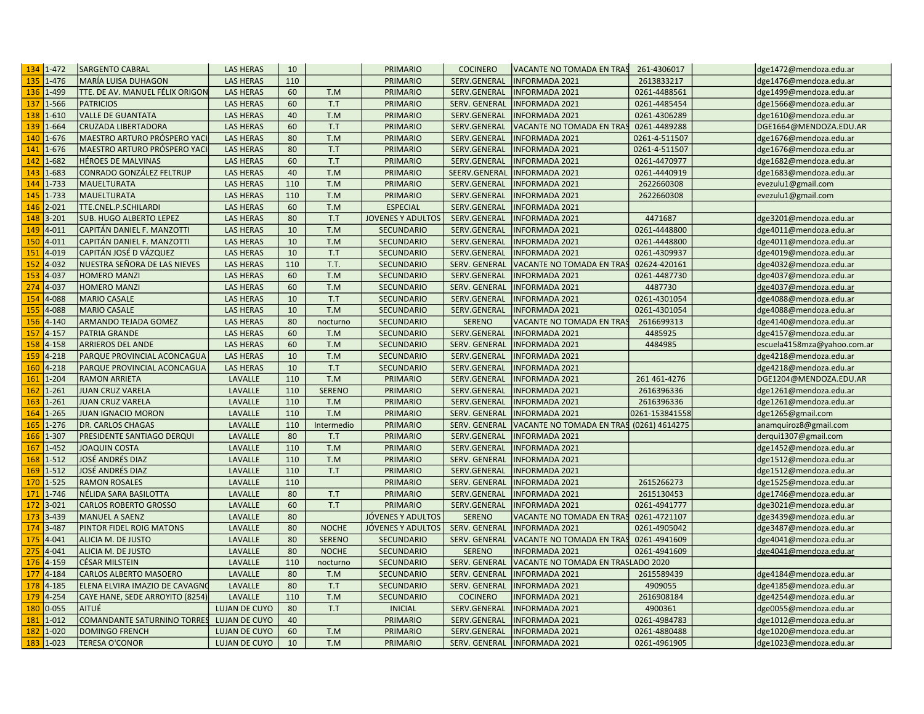| $134$ 1-472      | <b>SARGENTO CABRAL</b>          | <b>LAS HERAS</b>     | 10  |               | <b>PRIMARIO</b>          | <b>COCINERO</b>      | VACANTE NO TOMADA EN TRAS                | 261-4306017    | dge1472@mendoza.edu.ar      |
|------------------|---------------------------------|----------------------|-----|---------------|--------------------------|----------------------|------------------------------------------|----------------|-----------------------------|
| 1-476            | MARÍA LUISA DUHAGON             | <b>LAS HERAS</b>     | 110 |               | PRIMARIO                 | SERV.GENERAL         | <b>INFORMADA 2021</b>                    | 2613833217     | dge1476@mendoza.edu.ar      |
| 1-499<br>136     | TTE. DE AV. MANUEL FÉLIX ORIGON | <b>LAS HERAS</b>     | 60  | T.M           | PRIMARIO                 | SERV.GENERAL         | <b>INFORMADA 2021</b>                    | 0261-4488561   | dge1499@mendoza.edu.ar      |
| 1-566            | <b>PATRICIOS</b>                | <b>LAS HERAS</b>     | 60  | T.T           | PRIMARIO                 | SERV. GENERAL        | <b>INFORMADA 2021</b>                    | 0261-4485454   | dge1566@mendoza.edu.ar      |
| 138<br>$1 - 610$ | <b>VALLE DE GUANTATA</b>        | <b>LAS HERAS</b>     | 40  | T.M           | PRIMARIO                 | SERV.GENERAL         | <b>INFORMADA 2021</b>                    | 0261-4306289   | dge1610@mendoza.edu.ar      |
| 139<br>1-664     | <b>CRUZADA LIBERTADORA</b>      | <b>LAS HERAS</b>     | 60  | T.T           | PRIMARIO                 | SERV.GENERAL         | VACANTE NO TOMADA EN TRAS                | 0261-4489288   | DGE1664@MENDOZA.EDU.AR      |
| 1-676<br>140     | MAESTRO ARTURO PRÓSPERO YACI    | <b>LAS HERAS</b>     | 80  | T.M           | <b>PRIMARIO</b>          | SERV.GENERAL         | <b>NFORMADA 2021</b>                     | 0261-4-511507  | dge1676@mendoza.edu.ar      |
| 141<br>1-676     | MAESTRO ARTURO PRÓSPERO YACI    | <b>LAS HERAS</b>     | 80  | T.T           | PRIMARIO                 | SERV.GENERAL         | <b>INFORMADA 2021</b>                    | 0261-4-511507  | dge1676@mendoza.edu.ar      |
| 1-682<br>142     | <b>HÉROES DE MALVINAS</b>       | <b>LAS HERAS</b>     | 60  | T.T           | PRIMARIO                 | SERV.GENERAL         | <b>INFORMADA 2021</b>                    | 0261-4470977   | dge1682@mendoza.edu.ar      |
| 143<br>1-683     | CONRADO GONZÁLEZ FELTRUP        | <b>LAS HERAS</b>     | 40  | T.M           | PRIMARIO                 | SEERV.GENERAI        | <b>INFORMADA 2021</b>                    | 0261-4440919   | dge1683@mendoza.edu.ar      |
| 144<br>1-733     | <b>MAUELTURATA</b>              | <b>LAS HERAS</b>     | 110 | T.M           | PRIMARIO                 | SERV.GENERAL         | <b>INFORMADA 2021</b>                    | 2622660308     | evezulu1@gmail.com          |
| 1-733<br>145     | <b>MAUELTURATA</b>              | <b>LAS HERAS</b>     | 110 | T.M           | PRIMARIO                 | SERV.GENERAL         | <b>INFORMADA 2021</b>                    | 2622660308     | evezulu1@gmail.com          |
| 146<br>$2 - 021$ | TTE.CNEL.P.SCHILARDI            | <b>LAS HERAS</b>     | 60  | T.M           | <b>ESPECIAL</b>          | SERV.GENERAL         | <b>INFORMADA 2021</b>                    |                |                             |
| $3 - 201$<br>148 | <b>SUB. HUGO ALBERTO LEPEZ</b>  | <b>LAS HERAS</b>     | 80  | T.T           | <b>JOVENES Y ADULTOS</b> | SERV.GENERAL         | NFORMADA 2021                            | 4471687        | dge3201@mendoza.edu.ar      |
| 149<br>$4 - 011$ | CAPITÁN DANIEL F. MANZOTTI      | <b>LAS HERAS</b>     | 10  | T.M           | <b>SECUNDARIO</b>        | SERV.GENERAL         | NFORMADA 2021                            | 0261-4448800   | dge4011@mendoza.edu.ar      |
| 150<br>$4 - 011$ | CAPITÁN DANIEL F. MANZOTTI      | <b>LAS HERAS</b>     | 10  | T.M           | <b>SECUNDARIO</b>        | SERV.GENERAL         | <b>INFORMADA 2021</b>                    | 0261-4448800   | dge4011@mendoza.edu.ar      |
| 151<br>4-019     | CAPITÁN JOSÉ D VÁZQUEZ          | <b>LAS HERAS</b>     | 10  | T.T           | <b>SECUNDARIO</b>        | SERV.GENERAL         | <b>INFORMADA 2021</b>                    | 0261-4309937   | dge4019@mendoza.edu.ar      |
| 152<br>$4 - 032$ | NUESTRA SEÑORA DE LAS NIEVES    | <b>LAS HERAS</b>     | 110 | T.T.          | <b>SECUNDARIO</b>        | SERV. GENERAL        | VACANTE NO TOMADA EN TRAS                | 02624-420161   | dge4032@mendoza.edu.ar      |
| 153<br>4-037     | <b>HOMERO MANZI</b>             | <b>LAS HERAS</b>     | 60  | T.M           | <b>SECUNDARIO</b>        | SERV.GENERAL         | <b>NFORMADA 2021</b>                     | 0261-4487730   | dge4037@mendoza.edu.ar      |
| 4-037<br>274     | <b>HOMERO MANZI</b>             | <b>LAS HERAS</b>     | 60  | T.M           | SECUNDARIO               | SERV. GENERAL        | <b>INFORMADA 2021</b>                    | 4487730        | dge4037@mendoza.edu.ar      |
| 4-088<br>154     | <b>MARIO CASALE</b>             | <b>LAS HERAS</b>     | 10  | T.T           | <b>SECUNDARIO</b>        | SERV.GENERAL         | <b>INFORMADA 2021</b>                    | 0261-4301054   | dge4088@mendoza.edu.ar      |
| 155<br>4-088     | <b>MARIO CASALE</b>             | <b>LAS HERAS</b>     | 10  | T.M           | <b>SECUNDARIO</b>        | SERV.GENERAL         | <b>INFORMADA 2021</b>                    | 0261-4301054   | dge4088@mendoza.edu.ar      |
| $4 - 140$<br>156 | ARMANDO TEJADA GOMEZ            | <b>LAS HERAS</b>     | 80  | nocturno      | <b>SECUNDARIO</b>        | <b>SERENO</b>        | VACANTE NO TOMADA EN TRAS                | 2616699313     | dge4140@mendoza.edu.ar      |
| $4 - 157$<br>157 | <b>PATRIA GRANDE</b>            | <b>LAS HERAS</b>     | 60  | T.M           | <b>SECUNDARIO</b>        | SERV.GENERAL         | <b>INFORMADA 2021</b>                    | 4485925        | dge4157@mendoza.edu.ar      |
| $4 - 158$<br>158 | <b>ARRIEROS DEL ANDE</b>        | <b>LAS HERAS</b>     | 60  | T.M           | <b>SECUNDARIO</b>        | SERV. GENERAL        | <b>INFORMADA 2021</b>                    | 4484985        | escuela4158mza@yahoo.com.ar |
| $4 - 218$<br>159 | PARQUE PROVINCIAL ACONCAGUA     | <b>LAS HERAS</b>     | 10  | T.M           | <b>SECUNDARIO</b>        | SERV.GENERAL         | <b>INFORMADA 2021</b>                    |                | dge4218@mendoza.edu.ar      |
| $4 - 218$<br>160 | PARQUE PROVINCIAL ACONCAGUA     | <b>LAS HERAS</b>     | 10  | T.T           | <b>SECUNDARIO</b>        | SERV.GENERAL         | <b>INFORMADA 2021</b>                    |                | dge4218@mendoza.edu.ar      |
| $1 - 204$<br>161 | <b>RAMON ARRIETA</b>            | LAVALLE              | 110 | T.M           | PRIMARIO                 | SERV.GENERAL         | NFORMADA 2021                            | 261 461 - 4276 | DGE1204@MENDOZA.EDU.AR      |
| 162<br>$1 - 261$ | <b>JUAN CRUZ VARELA</b>         | LAVALLE              | 110 | <b>SERENO</b> | <b>PRIMARIO</b>          | SERV.GENERAL         | <b>INFORMADA 2021</b>                    | 2616396336     | dge1261@mendoza.edu.ar      |
| $1 - 261$<br>163 | <b>JUAN CRUZ VARELA</b>         | LAVALLE              | 110 | T.M           | PRIMARIO                 | SERV.GENERAL         | <b>INFORMADA 2021</b>                    | 2616396336     | dge1261@mendoza.edu.ar      |
| $1 - 265$<br>164 | <b>JUAN IGNACIO MORON</b>       | LAVALLE              | 110 | T.M           | PRIMARIO                 | SERV. GENERAL        | <b>INFORMADA 2021</b>                    | 0261-153841558 | dge1265@gmail.com           |
| $1 - 276$<br>165 | DR. CARLOS CHAGAS               | LAVALLE              | 110 | Intermedio    | PRIMARIO                 | SERV. GENERAL        | VACANTE NO TOMADA EN TRAS (0261) 4614275 |                | anamquiroz8@gmail.com       |
| 1-307<br>166     | PRESIDENTE SANTIAGO DERQUI      | LAVALLE              | 80  | T.T           | PRIMARIO                 | SERV.GENERAL         | <b>INFORMADA 2021</b>                    |                | derqui1307@gmail.com        |
| $1 - 452$<br>167 | <b>JOAQUIN COSTA</b>            | LAVALLE              | 110 | T.M           | PRIMARIO                 | SERV.GENERAL         | <b>INFORMADA 2021</b>                    |                | dge1452@mendoza.edu.ar      |
| $1 - 512$<br>168 | JOSÉ ANDRÉS DIAZ                | LAVALLE              | 110 | T.M           | PRIMARIO                 | SERV. GENERAL        | <b>INFORMADA 2021</b>                    |                |                             |
| 169<br>$1 - 512$ | JOSÉ ANDRÉS DIAZ                | LAVALLE              | 110 | T.T           | <b>PRIMARIO</b>          | SERV.GENERAL         | <b>INFORMADA 2021</b>                    |                | dge1512@mendoza.edu.ar      |
| $1 - 525$<br>170 |                                 | LAVALLE              | 110 |               |                          |                      |                                          |                | dge1512@mendoza.edu.ar      |
| $1 - 746$        | <b>RAMON ROSALES</b>            | LAVALLE              | 80  |               | PRIMARIO                 | SERV. GENERAL        | <b>INFORMADA 2021</b>                    | 2615266273     | dge1525@mendoza.edu.ar      |
| 171              | NÉLIDA SARA BASILOTTA           |                      |     | T.T           | PRIMARIO                 | SERV.GENERAL         | <b>INFORMADA 2021</b>                    | 2615130453     | dge1746@mendoza.edu.ar      |
| $3 - 021$<br>172 | <b>CARLOS ROBERTO GROSSO</b>    | LAVALLE              | 60  | T.T           | PRIMARIO                 | SERV.GENERAL         | <b>INFORMADA 2021</b>                    | 0261-4941777   | dge3021@mendoza.edu.ar      |
| 3-439<br>173     | <b>MANUEL A SAENZ</b>           | LAVALLE              | 80  |               | JÓVENES Y ADULTOS        | <b>SERENO</b>        | VACANTE NO TOMADA EN TRAS                | 0261-4721107   | dge3439@mendoza.edu.ar      |
| 3-487<br>174     | PINTOR FIDEL ROIG MATONS        | LAVALLE              | 80  | <b>NOCHE</b>  | JÓVENES Y ADULTOS        | SERV. GENERAL        | <b>INFORMADA 2021</b>                    | 0261-4905042   | dge3487@mendoza.edu.ar      |
| $4 - 041$<br>175 | ALICIA M. DE JUSTO              | LAVALLE              | 80  | <b>SERENO</b> | <b>SECUNDARIO</b>        | SERV. GENERAL        | VACANTE NO TOMADA EN TRAS                | 0261-4941609   | dge4041@mendoza.edu.ar      |
| 275<br>$4 - 041$ | ALICIA M. DE JUSTO              | LAVALLE              | 80  | <b>NOCHE</b>  | SECUNDARIO               | <b>SERENO</b>        | NFORMADA 2021                            | 0261-4941609   | dge4041@mendoza.edu.ar      |
| $4 - 159$<br>176 | <b>CÉSAR MILSTEIN</b>           | LAVALLE              | 110 | nocturno      | <b>SECUNDARIO</b>        | <b>SERV. GENERAL</b> | VACANTE NO TOMADA EN TRASLADO 2020       |                |                             |
| 177<br>$4 - 184$ | <b>CARLOS ALBERTO MASOERO</b>   | LAVALLE              | 80  | T.M           | <b>SECUNDARIO</b>        | SERV. GENERAL        | <b>INFORMADA 2021</b>                    | 2615589439     | dge4184@mendoza.edu.ar      |
| $4 - 185$<br>178 | ELENA ELVIRA IMAZIO DE CAVAGNO  | LAVALLE              | 80  | T.T           | <b>SECUNDARIO</b>        | SERV. GENERAL        | <b>INFORMADA 2021</b>                    | 4909055        | dge4185@mendoza.edu.ar      |
| $4 - 254$<br>179 | CAYE HANE, SEDE ARROYITO (8254) | LAVALLE              | 110 | T.M           | <b>SECUNDARIO</b>        | <b>COCINERO</b>      | <b>INFORMADA 2021</b>                    | 2616908184     | dge4254@mendoza.edu.ar      |
| $0 - 055$<br>180 | AITUÉ                           | <b>LUJAN DE CUYO</b> | 80  | T.T           | <b>INICIAL</b>           | SERV.GENERAL         | <b>INFORMADA 2021</b>                    | 4900361        | dge0055@mendoza.edu.ar      |
| $1 - 012$<br>181 | COMANDANTE SATURNINO TORRES     | <b>LUJAN DE CUYO</b> | 40  |               | PRIMARIO                 | SERV.GENERAL         | <b>INFORMADA 2021</b>                    | 0261-4984783   | dge1012@mendoza.edu.ar      |
| 182<br>1-020     | <b>DOMINGO FRENCH</b>           | <b>LUJAN DE CUYO</b> | 60  | T.M           | <b>PRIMARIO</b>          | SERV.GENERAL         | <b>INFORMADA 2021</b>                    | 0261-4880488   | dge1020@mendoza.edu.ar      |
| 183<br>$1 - 023$ | <b>TERESA O'CONOR</b>           | <b>LUJAN DE CUYO</b> | 10  | T.M           | PRIMARIO                 | SERV. GENERAL        | <b>INFORMADA 2021</b>                    | 0261-4961905   | dge1023@mendoza.edu.ar      |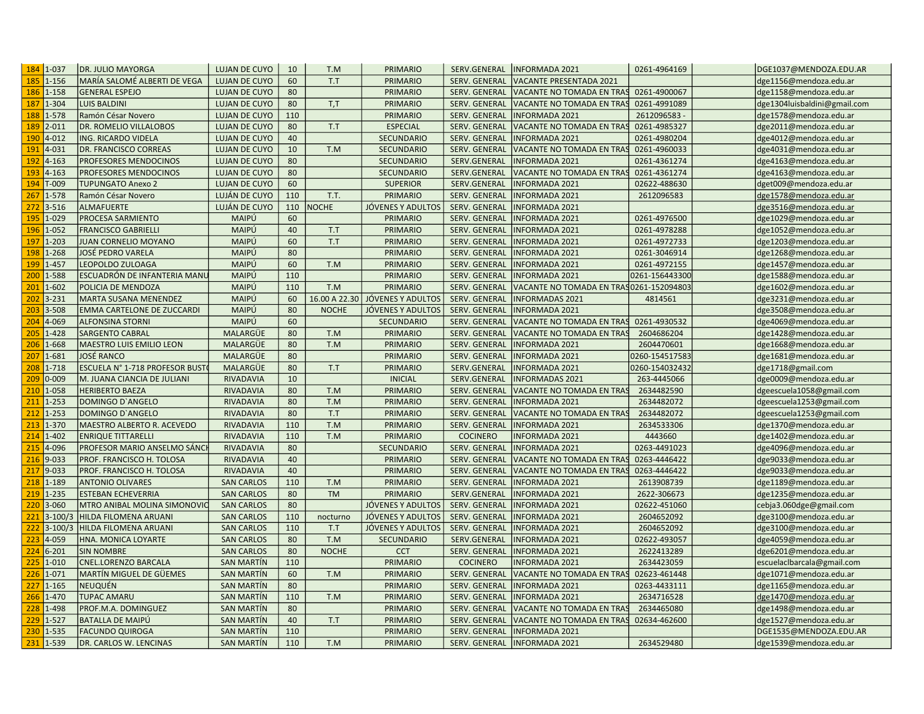| MARÍA SALOMÉ ALBERTI DE VEGA<br><b>GENERAL ESPEJO</b><br><b>LUIS BALDINI</b><br>Ramón César Novero<br>DR. ROMELIO VILLALOBOS<br>ING. RICARDO VIDELA<br>DR. FRANCISCO CORREAS<br>PROFESORES MENDOCINOS<br>PROFESORES MENDOCINOS<br><b>TUPUNGATO Anexo 2</b><br>Ramón César Novero<br><b>ALMAFUERTE</b><br>PROCESA SARMIENTO<br><b>FRANCISCO GABRIELLI</b><br><b>JUAN CORNELIO MOYANO</b><br>JOSÉ PEDRO VARELA<br><b>LEOPOLDO ZULOAGA</b> | <b>LUJAN DE CUYO</b><br><b>LUJAN DE CUYO</b><br><b>LUJAN DE CUYO</b><br><b>LUJAN DE CUYO</b><br><b>LUJAN DE CUYO</b><br><b>LUJAN DE CUYO</b><br><b>LUJAN DE CUYO</b><br><b>LUJAN DE CUYO</b><br><b>LUJAN DE CUYO</b><br><b>LUJAN DE CUYO</b><br>LUJÁN DE CUYO<br>LUJÁN DE CUYO<br>MAIPÚ<br>MAIPÚ<br>MAIPÚ                                                                                                                                                                                                                                                                                                                                                                                                                                                      | 60<br>80<br>80<br>110<br>80<br>40<br>10<br>80<br>80<br>60<br>110<br>110<br>60<br>40                                                                                                                                                                                                                                                                                                                                                                                                                 | T.T<br>T,T<br>T.T<br>T.M<br>T.T.<br><b>NOCHE</b>                                                                                                                              | PRIMARIO<br><b>PRIMARIO</b><br>PRIMARIO<br>PRIMARIO<br><b>ESPECIAL</b><br><b>SECUNDARIO</b><br><b>SECUNDARIO</b><br><b>SECUNDARIO</b><br><b>SECUNDARIO</b><br><b>SUPERIOR</b><br>PRIMARIO<br>JÓVENES Y ADULTOS | SERV. GENERAL<br>SERV. GENERAL<br>SERV. GENERAL<br>SERV. GENERAL<br><b>SERV. GENERAL</b><br>SERV. GENERAL<br>SERV. GENERAL<br>SERV.GENERAL<br>SERV.GENERAL<br>SERV.GENERAL<br>SERV. GENERAL                                                                                                                                                                                                                                   | <b>VACANTE PRESENTADA 2021</b><br>VACANTE NO TOMADA EN TRAS<br>VACANTE NO TOMADA EN TRAS<br><b>INFORMADA 2021</b><br>VACANTE NO TOMADA EN TRAS<br>NFORMADA 2021<br>VACANTE NO TOMADA EN TRAS<br><b>INFORMADA 2021</b><br>VACANTE NO TOMADA EN TRAS<br>NFORMADA 2021                                                                                                                                                                                                                                           | 0261-4900067<br>0261-4991089<br>2612096583<br>0261-4985327<br>0261-4980204<br>0261-4960033<br>0261-4361274<br>0261-4361274                                                                                                                                                                                                                                                                                                                                                                                                                                                                                                                                                                                                              | dge1156@mendoza.edu.ar<br>dge1158@mendoza.edu.ar<br>dge1304luisbaldini@gmail.com<br>dge1578@mendoza.edu.ar<br>dge2011@mendoza.edu.ar<br>dge4012@mendoza.edu.ar<br>dge4031@mendoza.edu.ar<br>dge4163@mendoza.edu.ar<br>dge4163@mendoza.edu.ar<br>dget009@mendoza.edu.ar                                                                                                                                        |
|-----------------------------------------------------------------------------------------------------------------------------------------------------------------------------------------------------------------------------------------------------------------------------------------------------------------------------------------------------------------------------------------------------------------------------------------|----------------------------------------------------------------------------------------------------------------------------------------------------------------------------------------------------------------------------------------------------------------------------------------------------------------------------------------------------------------------------------------------------------------------------------------------------------------------------------------------------------------------------------------------------------------------------------------------------------------------------------------------------------------------------------------------------------------------------------------------------------------|-----------------------------------------------------------------------------------------------------------------------------------------------------------------------------------------------------------------------------------------------------------------------------------------------------------------------------------------------------------------------------------------------------------------------------------------------------------------------------------------------------|-------------------------------------------------------------------------------------------------------------------------------------------------------------------------------|----------------------------------------------------------------------------------------------------------------------------------------------------------------------------------------------------------------|-------------------------------------------------------------------------------------------------------------------------------------------------------------------------------------------------------------------------------------------------------------------------------------------------------------------------------------------------------------------------------------------------------------------------------|---------------------------------------------------------------------------------------------------------------------------------------------------------------------------------------------------------------------------------------------------------------------------------------------------------------------------------------------------------------------------------------------------------------------------------------------------------------------------------------------------------------|-----------------------------------------------------------------------------------------------------------------------------------------------------------------------------------------------------------------------------------------------------------------------------------------------------------------------------------------------------------------------------------------------------------------------------------------------------------------------------------------------------------------------------------------------------------------------------------------------------------------------------------------------------------------------------------------------------------------------------------------|---------------------------------------------------------------------------------------------------------------------------------------------------------------------------------------------------------------------------------------------------------------------------------------------------------------------------------------------------------------------------------------------------------------|
|                                                                                                                                                                                                                                                                                                                                                                                                                                         |                                                                                                                                                                                                                                                                                                                                                                                                                                                                                                                                                                                                                                                                                                                                                                |                                                                                                                                                                                                                                                                                                                                                                                                                                                                                                     |                                                                                                                                                                               |                                                                                                                                                                                                                |                                                                                                                                                                                                                                                                                                                                                                                                                               |                                                                                                                                                                                                                                                                                                                                                                                                                                                                                                               |                                                                                                                                                                                                                                                                                                                                                                                                                                                                                                                                                                                                                                                                                                                                         |                                                                                                                                                                                                                                                                                                                                                                                                               |
|                                                                                                                                                                                                                                                                                                                                                                                                                                         |                                                                                                                                                                                                                                                                                                                                                                                                                                                                                                                                                                                                                                                                                                                                                                |                                                                                                                                                                                                                                                                                                                                                                                                                                                                                                     |                                                                                                                                                                               |                                                                                                                                                                                                                |                                                                                                                                                                                                                                                                                                                                                                                                                               |                                                                                                                                                                                                                                                                                                                                                                                                                                                                                                               |                                                                                                                                                                                                                                                                                                                                                                                                                                                                                                                                                                                                                                                                                                                                         |                                                                                                                                                                                                                                                                                                                                                                                                               |
|                                                                                                                                                                                                                                                                                                                                                                                                                                         |                                                                                                                                                                                                                                                                                                                                                                                                                                                                                                                                                                                                                                                                                                                                                                |                                                                                                                                                                                                                                                                                                                                                                                                                                                                                                     |                                                                                                                                                                               |                                                                                                                                                                                                                |                                                                                                                                                                                                                                                                                                                                                                                                                               |                                                                                                                                                                                                                                                                                                                                                                                                                                                                                                               |                                                                                                                                                                                                                                                                                                                                                                                                                                                                                                                                                                                                                                                                                                                                         |                                                                                                                                                                                                                                                                                                                                                                                                               |
|                                                                                                                                                                                                                                                                                                                                                                                                                                         |                                                                                                                                                                                                                                                                                                                                                                                                                                                                                                                                                                                                                                                                                                                                                                |                                                                                                                                                                                                                                                                                                                                                                                                                                                                                                     |                                                                                                                                                                               |                                                                                                                                                                                                                |                                                                                                                                                                                                                                                                                                                                                                                                                               |                                                                                                                                                                                                                                                                                                                                                                                                                                                                                                               |                                                                                                                                                                                                                                                                                                                                                                                                                                                                                                                                                                                                                                                                                                                                         |                                                                                                                                                                                                                                                                                                                                                                                                               |
|                                                                                                                                                                                                                                                                                                                                                                                                                                         |                                                                                                                                                                                                                                                                                                                                                                                                                                                                                                                                                                                                                                                                                                                                                                |                                                                                                                                                                                                                                                                                                                                                                                                                                                                                                     |                                                                                                                                                                               |                                                                                                                                                                                                                |                                                                                                                                                                                                                                                                                                                                                                                                                               |                                                                                                                                                                                                                                                                                                                                                                                                                                                                                                               |                                                                                                                                                                                                                                                                                                                                                                                                                                                                                                                                                                                                                                                                                                                                         |                                                                                                                                                                                                                                                                                                                                                                                                               |
|                                                                                                                                                                                                                                                                                                                                                                                                                                         |                                                                                                                                                                                                                                                                                                                                                                                                                                                                                                                                                                                                                                                                                                                                                                |                                                                                                                                                                                                                                                                                                                                                                                                                                                                                                     |                                                                                                                                                                               |                                                                                                                                                                                                                |                                                                                                                                                                                                                                                                                                                                                                                                                               |                                                                                                                                                                                                                                                                                                                                                                                                                                                                                                               |                                                                                                                                                                                                                                                                                                                                                                                                                                                                                                                                                                                                                                                                                                                                         |                                                                                                                                                                                                                                                                                                                                                                                                               |
|                                                                                                                                                                                                                                                                                                                                                                                                                                         |                                                                                                                                                                                                                                                                                                                                                                                                                                                                                                                                                                                                                                                                                                                                                                |                                                                                                                                                                                                                                                                                                                                                                                                                                                                                                     |                                                                                                                                                                               |                                                                                                                                                                                                                |                                                                                                                                                                                                                                                                                                                                                                                                                               |                                                                                                                                                                                                                                                                                                                                                                                                                                                                                                               |                                                                                                                                                                                                                                                                                                                                                                                                                                                                                                                                                                                                                                                                                                                                         |                                                                                                                                                                                                                                                                                                                                                                                                               |
|                                                                                                                                                                                                                                                                                                                                                                                                                                         |                                                                                                                                                                                                                                                                                                                                                                                                                                                                                                                                                                                                                                                                                                                                                                |                                                                                                                                                                                                                                                                                                                                                                                                                                                                                                     |                                                                                                                                                                               |                                                                                                                                                                                                                |                                                                                                                                                                                                                                                                                                                                                                                                                               |                                                                                                                                                                                                                                                                                                                                                                                                                                                                                                               |                                                                                                                                                                                                                                                                                                                                                                                                                                                                                                                                                                                                                                                                                                                                         |                                                                                                                                                                                                                                                                                                                                                                                                               |
|                                                                                                                                                                                                                                                                                                                                                                                                                                         |                                                                                                                                                                                                                                                                                                                                                                                                                                                                                                                                                                                                                                                                                                                                                                |                                                                                                                                                                                                                                                                                                                                                                                                                                                                                                     |                                                                                                                                                                               |                                                                                                                                                                                                                |                                                                                                                                                                                                                                                                                                                                                                                                                               |                                                                                                                                                                                                                                                                                                                                                                                                                                                                                                               |                                                                                                                                                                                                                                                                                                                                                                                                                                                                                                                                                                                                                                                                                                                                         |                                                                                                                                                                                                                                                                                                                                                                                                               |
|                                                                                                                                                                                                                                                                                                                                                                                                                                         |                                                                                                                                                                                                                                                                                                                                                                                                                                                                                                                                                                                                                                                                                                                                                                |                                                                                                                                                                                                                                                                                                                                                                                                                                                                                                     |                                                                                                                                                                               |                                                                                                                                                                                                                |                                                                                                                                                                                                                                                                                                                                                                                                                               |                                                                                                                                                                                                                                                                                                                                                                                                                                                                                                               | 02622-488630                                                                                                                                                                                                                                                                                                                                                                                                                                                                                                                                                                                                                                                                                                                            |                                                                                                                                                                                                                                                                                                                                                                                                               |
|                                                                                                                                                                                                                                                                                                                                                                                                                                         |                                                                                                                                                                                                                                                                                                                                                                                                                                                                                                                                                                                                                                                                                                                                                                |                                                                                                                                                                                                                                                                                                                                                                                                                                                                                                     |                                                                                                                                                                               |                                                                                                                                                                                                                |                                                                                                                                                                                                                                                                                                                                                                                                                               | <b>INFORMADA 2021</b>                                                                                                                                                                                                                                                                                                                                                                                                                                                                                         | 2612096583                                                                                                                                                                                                                                                                                                                                                                                                                                                                                                                                                                                                                                                                                                                              | dge1578@mendoza.edu.ar                                                                                                                                                                                                                                                                                                                                                                                        |
|                                                                                                                                                                                                                                                                                                                                                                                                                                         |                                                                                                                                                                                                                                                                                                                                                                                                                                                                                                                                                                                                                                                                                                                                                                |                                                                                                                                                                                                                                                                                                                                                                                                                                                                                                     |                                                                                                                                                                               |                                                                                                                                                                                                                | SERV. GENERAL                                                                                                                                                                                                                                                                                                                                                                                                                 | <b>INFORMADA 2021</b>                                                                                                                                                                                                                                                                                                                                                                                                                                                                                         |                                                                                                                                                                                                                                                                                                                                                                                                                                                                                                                                                                                                                                                                                                                                         | dge3516@mendoza.edu.ar                                                                                                                                                                                                                                                                                                                                                                                        |
|                                                                                                                                                                                                                                                                                                                                                                                                                                         |                                                                                                                                                                                                                                                                                                                                                                                                                                                                                                                                                                                                                                                                                                                                                                |                                                                                                                                                                                                                                                                                                                                                                                                                                                                                                     |                                                                                                                                                                               | <b>PRIMARIO</b>                                                                                                                                                                                                | SERV. GENERAL                                                                                                                                                                                                                                                                                                                                                                                                                 | NFORMADA 2021                                                                                                                                                                                                                                                                                                                                                                                                                                                                                                 | 0261-4976500                                                                                                                                                                                                                                                                                                                                                                                                                                                                                                                                                                                                                                                                                                                            | dge1029@mendoza.edu.ar                                                                                                                                                                                                                                                                                                                                                                                        |
|                                                                                                                                                                                                                                                                                                                                                                                                                                         |                                                                                                                                                                                                                                                                                                                                                                                                                                                                                                                                                                                                                                                                                                                                                                |                                                                                                                                                                                                                                                                                                                                                                                                                                                                                                     | T.T                                                                                                                                                                           | <b>PRIMARIO</b>                                                                                                                                                                                                | <b>SERV. GENERAL</b>                                                                                                                                                                                                                                                                                                                                                                                                          | NFORMADA 2021                                                                                                                                                                                                                                                                                                                                                                                                                                                                                                 | 0261-4978288                                                                                                                                                                                                                                                                                                                                                                                                                                                                                                                                                                                                                                                                                                                            | dge1052@mendoza.edu.ar                                                                                                                                                                                                                                                                                                                                                                                        |
|                                                                                                                                                                                                                                                                                                                                                                                                                                         |                                                                                                                                                                                                                                                                                                                                                                                                                                                                                                                                                                                                                                                                                                                                                                | 60                                                                                                                                                                                                                                                                                                                                                                                                                                                                                                  | T.T                                                                                                                                                                           | PRIMARIO                                                                                                                                                                                                       | SERV. GENERAL                                                                                                                                                                                                                                                                                                                                                                                                                 | <b>INFORMADA 2021</b>                                                                                                                                                                                                                                                                                                                                                                                                                                                                                         | 0261-4972733                                                                                                                                                                                                                                                                                                                                                                                                                                                                                                                                                                                                                                                                                                                            | dge1203@mendoza.edu.ar                                                                                                                                                                                                                                                                                                                                                                                        |
|                                                                                                                                                                                                                                                                                                                                                                                                                                         | MAIPÚ                                                                                                                                                                                                                                                                                                                                                                                                                                                                                                                                                                                                                                                                                                                                                          | 80                                                                                                                                                                                                                                                                                                                                                                                                                                                                                                  |                                                                                                                                                                               | PRIMARIO                                                                                                                                                                                                       | SERV. GENERAL                                                                                                                                                                                                                                                                                                                                                                                                                 | <b>INFORMADA 2021</b>                                                                                                                                                                                                                                                                                                                                                                                                                                                                                         | 0261-3046914                                                                                                                                                                                                                                                                                                                                                                                                                                                                                                                                                                                                                                                                                                                            | dge1268@mendoza.edu.ar                                                                                                                                                                                                                                                                                                                                                                                        |
|                                                                                                                                                                                                                                                                                                                                                                                                                                         | MAIPÚ                                                                                                                                                                                                                                                                                                                                                                                                                                                                                                                                                                                                                                                                                                                                                          | 60                                                                                                                                                                                                                                                                                                                                                                                                                                                                                                  | T.M                                                                                                                                                                           | PRIMARIO                                                                                                                                                                                                       | SERV. GENERAL                                                                                                                                                                                                                                                                                                                                                                                                                 | <b>INFORMADA 2021</b>                                                                                                                                                                                                                                                                                                                                                                                                                                                                                         | 0261-4972155                                                                                                                                                                                                                                                                                                                                                                                                                                                                                                                                                                                                                                                                                                                            | dge1457@mendoza.edu.ar                                                                                                                                                                                                                                                                                                                                                                                        |
| ESCUADRÓN DE INFANTERIA MANU                                                                                                                                                                                                                                                                                                                                                                                                            | MAIPÚ                                                                                                                                                                                                                                                                                                                                                                                                                                                                                                                                                                                                                                                                                                                                                          | 110                                                                                                                                                                                                                                                                                                                                                                                                                                                                                                 |                                                                                                                                                                               | PRIMARIO                                                                                                                                                                                                       | SERV. GENERAL                                                                                                                                                                                                                                                                                                                                                                                                                 | NFORMADA 2021                                                                                                                                                                                                                                                                                                                                                                                                                                                                                                 | 0261-156443300                                                                                                                                                                                                                                                                                                                                                                                                                                                                                                                                                                                                                                                                                                                          | dge1588@mendoza.edu.ar                                                                                                                                                                                                                                                                                                                                                                                        |
| POLICIA DE MENDOZA                                                                                                                                                                                                                                                                                                                                                                                                                      | MAIPÚ                                                                                                                                                                                                                                                                                                                                                                                                                                                                                                                                                                                                                                                                                                                                                          | 110                                                                                                                                                                                                                                                                                                                                                                                                                                                                                                 | T.M                                                                                                                                                                           | PRIMARIO                                                                                                                                                                                                       | SERV. GENERAL                                                                                                                                                                                                                                                                                                                                                                                                                 | VACANTE NO TOMADA EN TRAS 0261-152094803                                                                                                                                                                                                                                                                                                                                                                                                                                                                      |                                                                                                                                                                                                                                                                                                                                                                                                                                                                                                                                                                                                                                                                                                                                         | dge1602@mendoza.edu.ar                                                                                                                                                                                                                                                                                                                                                                                        |
| MARTA SUSANA MENENDEZ                                                                                                                                                                                                                                                                                                                                                                                                                   | MAIPÚ                                                                                                                                                                                                                                                                                                                                                                                                                                                                                                                                                                                                                                                                                                                                                          | 60                                                                                                                                                                                                                                                                                                                                                                                                                                                                                                  |                                                                                                                                                                               | 16.00 A 22.30 JÓVENES Y ADULTOS                                                                                                                                                                                | SERV. GENERAL                                                                                                                                                                                                                                                                                                                                                                                                                 | <b>NFORMADAS 2021</b>                                                                                                                                                                                                                                                                                                                                                                                                                                                                                         | 4814561                                                                                                                                                                                                                                                                                                                                                                                                                                                                                                                                                                                                                                                                                                                                 | dge3231@mendoza.edu.ar                                                                                                                                                                                                                                                                                                                                                                                        |
| <b>EMMA CARTELONE DE ZUCCARDI</b>                                                                                                                                                                                                                                                                                                                                                                                                       | MAIPÚ                                                                                                                                                                                                                                                                                                                                                                                                                                                                                                                                                                                                                                                                                                                                                          | 80                                                                                                                                                                                                                                                                                                                                                                                                                                                                                                  | <b>NOCHE</b>                                                                                                                                                                  | JÓVENES Y ADULTOS                                                                                                                                                                                              | SERV. GENERAL                                                                                                                                                                                                                                                                                                                                                                                                                 | <b>NFORMADA 2021</b>                                                                                                                                                                                                                                                                                                                                                                                                                                                                                          |                                                                                                                                                                                                                                                                                                                                                                                                                                                                                                                                                                                                                                                                                                                                         | dge3508@mendoza.edu.ar                                                                                                                                                                                                                                                                                                                                                                                        |
| <b>ALFONSINA STORNI</b>                                                                                                                                                                                                                                                                                                                                                                                                                 | MAIPÚ                                                                                                                                                                                                                                                                                                                                                                                                                                                                                                                                                                                                                                                                                                                                                          | 60                                                                                                                                                                                                                                                                                                                                                                                                                                                                                                  |                                                                                                                                                                               | <b>SECUNDARIO</b>                                                                                                                                                                                              | SERV. GENERAL                                                                                                                                                                                                                                                                                                                                                                                                                 | VACANTE NO TOMADA EN TRAS                                                                                                                                                                                                                                                                                                                                                                                                                                                                                     | 0261-4930532                                                                                                                                                                                                                                                                                                                                                                                                                                                                                                                                                                                                                                                                                                                            | dge4069@mendoza.edu.ar                                                                                                                                                                                                                                                                                                                                                                                        |
|                                                                                                                                                                                                                                                                                                                                                                                                                                         |                                                                                                                                                                                                                                                                                                                                                                                                                                                                                                                                                                                                                                                                                                                                                                |                                                                                                                                                                                                                                                                                                                                                                                                                                                                                                     |                                                                                                                                                                               |                                                                                                                                                                                                                |                                                                                                                                                                                                                                                                                                                                                                                                                               |                                                                                                                                                                                                                                                                                                                                                                                                                                                                                                               |                                                                                                                                                                                                                                                                                                                                                                                                                                                                                                                                                                                                                                                                                                                                         | dge1428@mendoza.edu.ar                                                                                                                                                                                                                                                                                                                                                                                        |
|                                                                                                                                                                                                                                                                                                                                                                                                                                         |                                                                                                                                                                                                                                                                                                                                                                                                                                                                                                                                                                                                                                                                                                                                                                |                                                                                                                                                                                                                                                                                                                                                                                                                                                                                                     | T.M                                                                                                                                                                           |                                                                                                                                                                                                                |                                                                                                                                                                                                                                                                                                                                                                                                                               |                                                                                                                                                                                                                                                                                                                                                                                                                                                                                                               |                                                                                                                                                                                                                                                                                                                                                                                                                                                                                                                                                                                                                                                                                                                                         | dge1668@mendoza.edu.ar                                                                                                                                                                                                                                                                                                                                                                                        |
|                                                                                                                                                                                                                                                                                                                                                                                                                                         |                                                                                                                                                                                                                                                                                                                                                                                                                                                                                                                                                                                                                                                                                                                                                                |                                                                                                                                                                                                                                                                                                                                                                                                                                                                                                     |                                                                                                                                                                               |                                                                                                                                                                                                                |                                                                                                                                                                                                                                                                                                                                                                                                                               |                                                                                                                                                                                                                                                                                                                                                                                                                                                                                                               |                                                                                                                                                                                                                                                                                                                                                                                                                                                                                                                                                                                                                                                                                                                                         | dge1681@mendoza.edu.ar                                                                                                                                                                                                                                                                                                                                                                                        |
|                                                                                                                                                                                                                                                                                                                                                                                                                                         |                                                                                                                                                                                                                                                                                                                                                                                                                                                                                                                                                                                                                                                                                                                                                                |                                                                                                                                                                                                                                                                                                                                                                                                                                                                                                     |                                                                                                                                                                               |                                                                                                                                                                                                                |                                                                                                                                                                                                                                                                                                                                                                                                                               |                                                                                                                                                                                                                                                                                                                                                                                                                                                                                                               |                                                                                                                                                                                                                                                                                                                                                                                                                                                                                                                                                                                                                                                                                                                                         | dge1718@gmail.com                                                                                                                                                                                                                                                                                                                                                                                             |
|                                                                                                                                                                                                                                                                                                                                                                                                                                         |                                                                                                                                                                                                                                                                                                                                                                                                                                                                                                                                                                                                                                                                                                                                                                |                                                                                                                                                                                                                                                                                                                                                                                                                                                                                                     |                                                                                                                                                                               |                                                                                                                                                                                                                |                                                                                                                                                                                                                                                                                                                                                                                                                               |                                                                                                                                                                                                                                                                                                                                                                                                                                                                                                               |                                                                                                                                                                                                                                                                                                                                                                                                                                                                                                                                                                                                                                                                                                                                         | dge0009@mendoza.edu.ar                                                                                                                                                                                                                                                                                                                                                                                        |
|                                                                                                                                                                                                                                                                                                                                                                                                                                         |                                                                                                                                                                                                                                                                                                                                                                                                                                                                                                                                                                                                                                                                                                                                                                |                                                                                                                                                                                                                                                                                                                                                                                                                                                                                                     |                                                                                                                                                                               |                                                                                                                                                                                                                |                                                                                                                                                                                                                                                                                                                                                                                                                               |                                                                                                                                                                                                                                                                                                                                                                                                                                                                                                               |                                                                                                                                                                                                                                                                                                                                                                                                                                                                                                                                                                                                                                                                                                                                         | dgeescuela1058@gmail.com                                                                                                                                                                                                                                                                                                                                                                                      |
|                                                                                                                                                                                                                                                                                                                                                                                                                                         |                                                                                                                                                                                                                                                                                                                                                                                                                                                                                                                                                                                                                                                                                                                                                                |                                                                                                                                                                                                                                                                                                                                                                                                                                                                                                     |                                                                                                                                                                               |                                                                                                                                                                                                                |                                                                                                                                                                                                                                                                                                                                                                                                                               |                                                                                                                                                                                                                                                                                                                                                                                                                                                                                                               |                                                                                                                                                                                                                                                                                                                                                                                                                                                                                                                                                                                                                                                                                                                                         | dgeescuela1253@gmail.com                                                                                                                                                                                                                                                                                                                                                                                      |
|                                                                                                                                                                                                                                                                                                                                                                                                                                         |                                                                                                                                                                                                                                                                                                                                                                                                                                                                                                                                                                                                                                                                                                                                                                |                                                                                                                                                                                                                                                                                                                                                                                                                                                                                                     |                                                                                                                                                                               |                                                                                                                                                                                                                |                                                                                                                                                                                                                                                                                                                                                                                                                               |                                                                                                                                                                                                                                                                                                                                                                                                                                                                                                               |                                                                                                                                                                                                                                                                                                                                                                                                                                                                                                                                                                                                                                                                                                                                         | dgeescuela1253@gmail.com                                                                                                                                                                                                                                                                                                                                                                                      |
|                                                                                                                                                                                                                                                                                                                                                                                                                                         |                                                                                                                                                                                                                                                                                                                                                                                                                                                                                                                                                                                                                                                                                                                                                                |                                                                                                                                                                                                                                                                                                                                                                                                                                                                                                     |                                                                                                                                                                               |                                                                                                                                                                                                                |                                                                                                                                                                                                                                                                                                                                                                                                                               |                                                                                                                                                                                                                                                                                                                                                                                                                                                                                                               |                                                                                                                                                                                                                                                                                                                                                                                                                                                                                                                                                                                                                                                                                                                                         | dge1370@mendoza.edu.ar                                                                                                                                                                                                                                                                                                                                                                                        |
|                                                                                                                                                                                                                                                                                                                                                                                                                                         |                                                                                                                                                                                                                                                                                                                                                                                                                                                                                                                                                                                                                                                                                                                                                                |                                                                                                                                                                                                                                                                                                                                                                                                                                                                                                     |                                                                                                                                                                               |                                                                                                                                                                                                                |                                                                                                                                                                                                                                                                                                                                                                                                                               |                                                                                                                                                                                                                                                                                                                                                                                                                                                                                                               |                                                                                                                                                                                                                                                                                                                                                                                                                                                                                                                                                                                                                                                                                                                                         | dge1402@mendoza.edu.ar                                                                                                                                                                                                                                                                                                                                                                                        |
|                                                                                                                                                                                                                                                                                                                                                                                                                                         |                                                                                                                                                                                                                                                                                                                                                                                                                                                                                                                                                                                                                                                                                                                                                                |                                                                                                                                                                                                                                                                                                                                                                                                                                                                                                     |                                                                                                                                                                               |                                                                                                                                                                                                                |                                                                                                                                                                                                                                                                                                                                                                                                                               |                                                                                                                                                                                                                                                                                                                                                                                                                                                                                                               |                                                                                                                                                                                                                                                                                                                                                                                                                                                                                                                                                                                                                                                                                                                                         | dge4096@mendoza.edu.ar                                                                                                                                                                                                                                                                                                                                                                                        |
|                                                                                                                                                                                                                                                                                                                                                                                                                                         |                                                                                                                                                                                                                                                                                                                                                                                                                                                                                                                                                                                                                                                                                                                                                                |                                                                                                                                                                                                                                                                                                                                                                                                                                                                                                     |                                                                                                                                                                               |                                                                                                                                                                                                                |                                                                                                                                                                                                                                                                                                                                                                                                                               |                                                                                                                                                                                                                                                                                                                                                                                                                                                                                                               |                                                                                                                                                                                                                                                                                                                                                                                                                                                                                                                                                                                                                                                                                                                                         | dge9033@mendoza.edu.ar                                                                                                                                                                                                                                                                                                                                                                                        |
|                                                                                                                                                                                                                                                                                                                                                                                                                                         |                                                                                                                                                                                                                                                                                                                                                                                                                                                                                                                                                                                                                                                                                                                                                                |                                                                                                                                                                                                                                                                                                                                                                                                                                                                                                     |                                                                                                                                                                               |                                                                                                                                                                                                                |                                                                                                                                                                                                                                                                                                                                                                                                                               |                                                                                                                                                                                                                                                                                                                                                                                                                                                                                                               |                                                                                                                                                                                                                                                                                                                                                                                                                                                                                                                                                                                                                                                                                                                                         | dge9033@mendoza.edu.ar                                                                                                                                                                                                                                                                                                                                                                                        |
|                                                                                                                                                                                                                                                                                                                                                                                                                                         |                                                                                                                                                                                                                                                                                                                                                                                                                                                                                                                                                                                                                                                                                                                                                                |                                                                                                                                                                                                                                                                                                                                                                                                                                                                                                     |                                                                                                                                                                               |                                                                                                                                                                                                                |                                                                                                                                                                                                                                                                                                                                                                                                                               |                                                                                                                                                                                                                                                                                                                                                                                                                                                                                                               |                                                                                                                                                                                                                                                                                                                                                                                                                                                                                                                                                                                                                                                                                                                                         | dge1189@mendoza.edu.ar                                                                                                                                                                                                                                                                                                                                                                                        |
|                                                                                                                                                                                                                                                                                                                                                                                                                                         |                                                                                                                                                                                                                                                                                                                                                                                                                                                                                                                                                                                                                                                                                                                                                                |                                                                                                                                                                                                                                                                                                                                                                                                                                                                                                     |                                                                                                                                                                               |                                                                                                                                                                                                                |                                                                                                                                                                                                                                                                                                                                                                                                                               |                                                                                                                                                                                                                                                                                                                                                                                                                                                                                                               |                                                                                                                                                                                                                                                                                                                                                                                                                                                                                                                                                                                                                                                                                                                                         | dge1235@mendoza.edu.ar                                                                                                                                                                                                                                                                                                                                                                                        |
|                                                                                                                                                                                                                                                                                                                                                                                                                                         |                                                                                                                                                                                                                                                                                                                                                                                                                                                                                                                                                                                                                                                                                                                                                                |                                                                                                                                                                                                                                                                                                                                                                                                                                                                                                     |                                                                                                                                                                               |                                                                                                                                                                                                                |                                                                                                                                                                                                                                                                                                                                                                                                                               |                                                                                                                                                                                                                                                                                                                                                                                                                                                                                                               |                                                                                                                                                                                                                                                                                                                                                                                                                                                                                                                                                                                                                                                                                                                                         | cebja3.060dge@gmail.com                                                                                                                                                                                                                                                                                                                                                                                       |
|                                                                                                                                                                                                                                                                                                                                                                                                                                         |                                                                                                                                                                                                                                                                                                                                                                                                                                                                                                                                                                                                                                                                                                                                                                |                                                                                                                                                                                                                                                                                                                                                                                                                                                                                                     |                                                                                                                                                                               |                                                                                                                                                                                                                |                                                                                                                                                                                                                                                                                                                                                                                                                               |                                                                                                                                                                                                                                                                                                                                                                                                                                                                                                               |                                                                                                                                                                                                                                                                                                                                                                                                                                                                                                                                                                                                                                                                                                                                         | dge3100@mendoza.edu.ar                                                                                                                                                                                                                                                                                                                                                                                        |
|                                                                                                                                                                                                                                                                                                                                                                                                                                         |                                                                                                                                                                                                                                                                                                                                                                                                                                                                                                                                                                                                                                                                                                                                                                |                                                                                                                                                                                                                                                                                                                                                                                                                                                                                                     |                                                                                                                                                                               |                                                                                                                                                                                                                |                                                                                                                                                                                                                                                                                                                                                                                                                               |                                                                                                                                                                                                                                                                                                                                                                                                                                                                                                               |                                                                                                                                                                                                                                                                                                                                                                                                                                                                                                                                                                                                                                                                                                                                         | dge3100@mendoza.edu.ar                                                                                                                                                                                                                                                                                                                                                                                        |
|                                                                                                                                                                                                                                                                                                                                                                                                                                         |                                                                                                                                                                                                                                                                                                                                                                                                                                                                                                                                                                                                                                                                                                                                                                |                                                                                                                                                                                                                                                                                                                                                                                                                                                                                                     |                                                                                                                                                                               |                                                                                                                                                                                                                |                                                                                                                                                                                                                                                                                                                                                                                                                               |                                                                                                                                                                                                                                                                                                                                                                                                                                                                                                               |                                                                                                                                                                                                                                                                                                                                                                                                                                                                                                                                                                                                                                                                                                                                         | dge4059@mendoza.edu.ar                                                                                                                                                                                                                                                                                                                                                                                        |
|                                                                                                                                                                                                                                                                                                                                                                                                                                         |                                                                                                                                                                                                                                                                                                                                                                                                                                                                                                                                                                                                                                                                                                                                                                |                                                                                                                                                                                                                                                                                                                                                                                                                                                                                                     |                                                                                                                                                                               |                                                                                                                                                                                                                |                                                                                                                                                                                                                                                                                                                                                                                                                               |                                                                                                                                                                                                                                                                                                                                                                                                                                                                                                               |                                                                                                                                                                                                                                                                                                                                                                                                                                                                                                                                                                                                                                                                                                                                         |                                                                                                                                                                                                                                                                                                                                                                                                               |
|                                                                                                                                                                                                                                                                                                                                                                                                                                         |                                                                                                                                                                                                                                                                                                                                                                                                                                                                                                                                                                                                                                                                                                                                                                |                                                                                                                                                                                                                                                                                                                                                                                                                                                                                                     |                                                                                                                                                                               |                                                                                                                                                                                                                |                                                                                                                                                                                                                                                                                                                                                                                                                               |                                                                                                                                                                                                                                                                                                                                                                                                                                                                                                               |                                                                                                                                                                                                                                                                                                                                                                                                                                                                                                                                                                                                                                                                                                                                         | dge6201@mendoza.edu.ar                                                                                                                                                                                                                                                                                                                                                                                        |
|                                                                                                                                                                                                                                                                                                                                                                                                                                         |                                                                                                                                                                                                                                                                                                                                                                                                                                                                                                                                                                                                                                                                                                                                                                |                                                                                                                                                                                                                                                                                                                                                                                                                                                                                                     |                                                                                                                                                                               |                                                                                                                                                                                                                |                                                                                                                                                                                                                                                                                                                                                                                                                               |                                                                                                                                                                                                                                                                                                                                                                                                                                                                                                               |                                                                                                                                                                                                                                                                                                                                                                                                                                                                                                                                                                                                                                                                                                                                         | escuelaclbarcala@gmail.com                                                                                                                                                                                                                                                                                                                                                                                    |
|                                                                                                                                                                                                                                                                                                                                                                                                                                         |                                                                                                                                                                                                                                                                                                                                                                                                                                                                                                                                                                                                                                                                                                                                                                |                                                                                                                                                                                                                                                                                                                                                                                                                                                                                                     |                                                                                                                                                                               |                                                                                                                                                                                                                |                                                                                                                                                                                                                                                                                                                                                                                                                               |                                                                                                                                                                                                                                                                                                                                                                                                                                                                                                               |                                                                                                                                                                                                                                                                                                                                                                                                                                                                                                                                                                                                                                                                                                                                         | dge1071@mendoza.edu.ar                                                                                                                                                                                                                                                                                                                                                                                        |
|                                                                                                                                                                                                                                                                                                                                                                                                                                         |                                                                                                                                                                                                                                                                                                                                                                                                                                                                                                                                                                                                                                                                                                                                                                |                                                                                                                                                                                                                                                                                                                                                                                                                                                                                                     |                                                                                                                                                                               |                                                                                                                                                                                                                |                                                                                                                                                                                                                                                                                                                                                                                                                               |                                                                                                                                                                                                                                                                                                                                                                                                                                                                                                               |                                                                                                                                                                                                                                                                                                                                                                                                                                                                                                                                                                                                                                                                                                                                         | dge1165@mendoza.edu.ar                                                                                                                                                                                                                                                                                                                                                                                        |
|                                                                                                                                                                                                                                                                                                                                                                                                                                         |                                                                                                                                                                                                                                                                                                                                                                                                                                                                                                                                                                                                                                                                                                                                                                |                                                                                                                                                                                                                                                                                                                                                                                                                                                                                                     |                                                                                                                                                                               |                                                                                                                                                                                                                |                                                                                                                                                                                                                                                                                                                                                                                                                               |                                                                                                                                                                                                                                                                                                                                                                                                                                                                                                               |                                                                                                                                                                                                                                                                                                                                                                                                                                                                                                                                                                                                                                                                                                                                         | dge1470@mendoza.edu.ar                                                                                                                                                                                                                                                                                                                                                                                        |
|                                                                                                                                                                                                                                                                                                                                                                                                                                         |                                                                                                                                                                                                                                                                                                                                                                                                                                                                                                                                                                                                                                                                                                                                                                |                                                                                                                                                                                                                                                                                                                                                                                                                                                                                                     |                                                                                                                                                                               |                                                                                                                                                                                                                |                                                                                                                                                                                                                                                                                                                                                                                                                               |                                                                                                                                                                                                                                                                                                                                                                                                                                                                                                               |                                                                                                                                                                                                                                                                                                                                                                                                                                                                                                                                                                                                                                                                                                                                         | dge1498@mendoza.edu.ar                                                                                                                                                                                                                                                                                                                                                                                        |
|                                                                                                                                                                                                                                                                                                                                                                                                                                         |                                                                                                                                                                                                                                                                                                                                                                                                                                                                                                                                                                                                                                                                                                                                                                |                                                                                                                                                                                                                                                                                                                                                                                                                                                                                                     |                                                                                                                                                                               |                                                                                                                                                                                                                |                                                                                                                                                                                                                                                                                                                                                                                                                               |                                                                                                                                                                                                                                                                                                                                                                                                                                                                                                               |                                                                                                                                                                                                                                                                                                                                                                                                                                                                                                                                                                                                                                                                                                                                         | dge1527@mendoza.edu.ar                                                                                                                                                                                                                                                                                                                                                                                        |
|                                                                                                                                                                                                                                                                                                                                                                                                                                         |                                                                                                                                                                                                                                                                                                                                                                                                                                                                                                                                                                                                                                                                                                                                                                |                                                                                                                                                                                                                                                                                                                                                                                                                                                                                                     |                                                                                                                                                                               |                                                                                                                                                                                                                |                                                                                                                                                                                                                                                                                                                                                                                                                               |                                                                                                                                                                                                                                                                                                                                                                                                                                                                                                               |                                                                                                                                                                                                                                                                                                                                                                                                                                                                                                                                                                                                                                                                                                                                         | DGE1535@MENDOZA.EDU.AR<br>dge1539@mendoza.edu.ar                                                                                                                                                                                                                                                                                                                                                              |
|                                                                                                                                                                                                                                                                                                                                                                                                                                         | <b>SARGENTO CABRAL</b><br><b>MAESTRO LUIS EMILIO LEON</b><br>JOSÉ RANCO<br><b>ESCUELA Nº 1-718 PROFESOR BUSTO</b><br>M. JUANA CIANCIA DE JULIANI<br><b>HERIBERTO BAEZA</b><br><b>DOMINGO D'ANGELO</b><br>DOMINGO D'ANGELO<br>MAESTRO ALBERTO R. ACEVEDO<br><b>ENRIQUE TITTARELLI</b><br>PROFESOR MARIO ANSELMO SÁNCH<br>PROF. FRANCISCO H. TOLOSA<br>PROF. FRANCISCO H. TOLOSA<br><b>ANTONIO OLIVARES</b><br><b>ESTEBAN ECHEVERRIA</b><br>MTRO ANIBAL MOLINA SIMONOVIC<br>HILDA FILOMENA ARUANI<br>HILDA FILOMENA ARUANI<br>HNA. MONICA LOYARTE<br><b>SIN NOMBRE</b><br><b>CNEL.LORENZO BARCALA</b><br>MARTÍN MIGUEL DE GÜEMES<br>NEUQUÉN<br><b>TUPAC AMARU</b><br>PROF.M.A. DOMINGUEZ<br>BATALLA DE MAIPÚ<br><b>FACUNDO QUIROGA</b><br>DR. CARLOS W. LENCINAS | MALARGÜE<br>MALARGÜE<br>MALARGÜE<br>MALARGÜE<br>RIVADAVIA<br><b>RIVADAVIA</b><br>RIVADAVIA<br>RIVADAVIA<br>RIVADAVIA<br>RIVADAVIA<br>RIVADAVIA<br>RIVADAVIA<br><b>RIVADAVIA</b><br><b>SAN CARLOS</b><br><b>SAN CARLOS</b><br><b>SAN CARLOS</b><br><b>SAN CARLOS</b><br><b>SAN CARLOS</b><br><b>SAN CARLOS</b><br><b>SAN CARLOS</b><br><b>SAN MARTÍN</b><br><b>SAN MARTÍN</b><br><b>SAN MARTÍN</b><br>SAN MARTÍN<br><b>SAN MARTÍN</b><br><b>SAN MARTÍN</b><br><b>SAN MARTÍN</b><br><b>SAN MARTÍN</b> | 80<br>80<br>80<br>80<br>10<br>80<br>80<br>80<br>110<br>110<br>80<br>40<br>40<br>110<br>80<br>80<br>110<br>110<br>80<br>80<br>110<br>60<br>80<br>110<br>80<br>40<br>110<br>110 | T.M<br>T.T<br>T.M<br>T.M<br>T.T<br>T.M<br>T.M<br>T.M<br><b>TM</b><br>nocturno<br>T.T<br>T.M<br><b>NOCHE</b><br>T.M<br>T.M<br>T.T<br>T.M                                                                        | PRIMARIO<br>PRIMARIO<br>PRIMARIO<br>PRIMARIO<br><b>INICIAL</b><br><b>PRIMARIO</b><br>PRIMARIO<br>PRIMARIO<br>PRIMARIO<br>PRIMARIO<br><b>SECUNDARIO</b><br>PRIMARIO<br><b>PRIMARIO</b><br><b>PRIMARIO</b><br>PRIMARIO<br>JÓVENES Y ADULTOS<br>JÓVENES Y ADULTOS<br>JÓVENES Y ADULTOS<br><b>SECUNDARIO</b><br><b>CCT</b><br>PRIMARIO<br>PRIMARIO<br>PRIMARIO<br>PRIMARIO<br>PRIMARIO<br>PRIMARIO<br><b>PRIMARIO</b><br>PRIMARIO | SERV. GENERAL<br>SERV. GENERAL<br>SERV. GENERAL<br>SERV.GENERAL<br>SERV.GENERAL<br><b>SERV. GENERAL</b><br>SERV. GENERAL<br>SERV. GENERAL<br>SERV. GENERAL<br><b>COCINERO</b><br>SERV. GENERAL<br>SERV. GENERAL<br>SERV. GENERAL<br>SERV. GENERAL<br>SERV.GENERAL<br>SERV. GENERAL<br>SERV. GENERAL<br>SERV. GENERAL<br>SERV.GENERAL<br>SERV. GENERAL<br><b>COCINERO</b><br>SERV. GENERAL<br>SERV. GENERAL<br>SERV. GENERAL<br>SERV. GENERAL<br>SERV. GENERAL<br><b>SERV. GENERAL</b><br><b>SERV. GENERAL</b> | VACANTE NO TOMADA EN TRAS<br><b>INFORMADA 2021</b><br><b>INFORMADA 2021</b><br><b>INFORMADA 2021</b><br>NFORMADAS 2021<br>VACANTE NO TOMADA EN TRAS<br><b>INFORMADA 2021</b><br>VACANTE NO TOMADA EN TRAS<br><b>INFORMADA 2021</b><br><b>INFORMADA 2021</b><br><b>INFORMADA 2021</b><br>VACANTE NO TOMADA EN TRAS<br>VACANTE NO TOMADA EN TRAS<br><b>INFORMADA 2021</b><br><b>INFORMADA 2021</b><br><b>NFORMADA 2021</b><br>NFORMADA 2021<br><b>INFORMADA 2021</b><br><b>INFORMADA 2021</b><br><b>INFORMADA 2021</b><br>NFORMADA 2021<br><b>VACANTE NO TOMADA EN TRAS</b><br><b>INFORMADA 2021</b><br><b>INFORMADA 2021</b><br>VACANTE NO TOMADA EN TRAS<br>VACANTE NO TOMADA EN TRAS<br><b>INFORMADA 2021</b><br><b>INFORMADA 2021</b> | 2604686204<br>2604470601<br>0260-154517583<br>0260-154032432<br>263-4445066<br>2634482590<br>2634482072<br>2634482072<br>2634533306<br>4443660<br>0263-4491023<br>0263-4446422<br>0263-4446422<br>2613908739<br>2622-306673<br>02622-451060<br>2604652092<br>2604652092<br>02622-493057<br>2622413289<br>2634423059<br>02623-461448<br>0263-4433111<br>2634716528<br>2634465080<br>02634-462600<br>2634529480 |